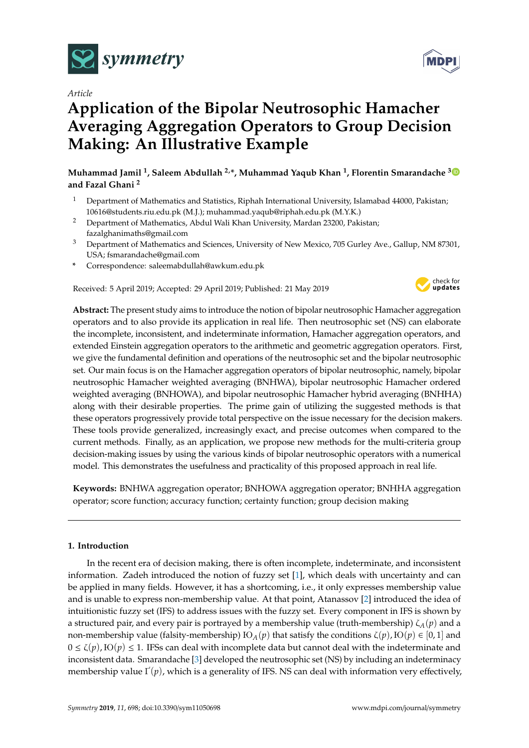

*Article*

# **Application of the Bipolar Neutrosophic Hamacher Averaging Aggregation Operators to Group Decision Making: An Illustrative Example**

# **Muhammad Jamil <sup>1</sup> , Saleem Abdullah 2,\*, Muhammad Yaqub Khan <sup>1</sup> , Florentin Smarandache [3](https://orcid.org/0000-0002-5560-5926) and Fazal Ghani <sup>2</sup>**

- <sup>1</sup> Department of Mathematics and Statistics, Riphah International University, Islamabad 44000, Pakistan; 10616@students.riu.edu.pk (M.J.); muhammad.yaqub@riphah.edu.pk (M.Y.K.)
- <sup>2</sup> Department of Mathematics, Abdul Wali Khan University, Mardan 23200, Pakistan; fazalghanimaths@gmail.com
- <sup>3</sup> Department of Mathematics and Sciences, University of New Mexico, 705 Gurley Ave., Gallup, NM 87301, USA; fsmarandache@gmail.com
- **\*** Correspondence: saleemabdullah@awkum.edu.pk

Received: 5 April 2019; Accepted: 29 April 2019; Published: 21 May 2019



**Abstract:** The present study aims to introduce the notion of bipolar neutrosophic Hamacher aggregation operators and to also provide its application in real life. Then neutrosophic set (NS) can elaborate the incomplete, inconsistent, and indeterminate information, Hamacher aggregation operators, and extended Einstein aggregation operators to the arithmetic and geometric aggregation operators. First, we give the fundamental definition and operations of the neutrosophic set and the bipolar neutrosophic set. Our main focus is on the Hamacher aggregation operators of bipolar neutrosophic, namely, bipolar neutrosophic Hamacher weighted averaging (BNHWA), bipolar neutrosophic Hamacher ordered weighted averaging (BNHOWA), and bipolar neutrosophic Hamacher hybrid averaging (BNHHA) along with their desirable properties. The prime gain of utilizing the suggested methods is that these operators progressively provide total perspective on the issue necessary for the decision makers. These tools provide generalized, increasingly exact, and precise outcomes when compared to the current methods. Finally, as an application, we propose new methods for the multi-criteria group decision-making issues by using the various kinds of bipolar neutrosophic operators with a numerical model. This demonstrates the usefulness and practicality of this proposed approach in real life.

**Keywords:** BNHWA aggregation operator; BNHOWA aggregation operator; BNHHA aggregation operator; score function; accuracy function; certainty function; group decision making

# **1. Introduction**

In the recent era of decision making, there is often incomplete, indeterminate, and inconsistent information. Zadeh introduced the notion of fuzzy set [\[1\]](#page-15-0), which deals with uncertainty and can be applied in many fields. However, it has a shortcoming, i.e., it only expresses membership value and is unable to express non-membership value. At that point, Atanassov [\[2\]](#page-15-1) introduced the idea of intuitionistic fuzzy set (IFS) to address issues with the fuzzy set. Every component in IFS is shown by a structured pair, and every pair is portrayed by a membership value (truth-membership) ζ*A*(*p*) and a non-membership value (falsity-membership)  $\text{FO}_A(p)$  that satisfy the conditions  $\zeta(p)$ ,  $\text{FO}(p) \in [0,1]$  and  $0 \le \zeta(p)$ ,  $\text{IO}(p) \le 1$ . IFSs can deal with incomplete data but cannot deal with the indeterminate and inconsistent data. Smarandache [\[3\]](#page-15-2) developed the neutrosophic set (NS) by including an indeterminacy membership value  $\Gamma(p)$ , which is a generality of IFS. NS can deal with information very effectively,

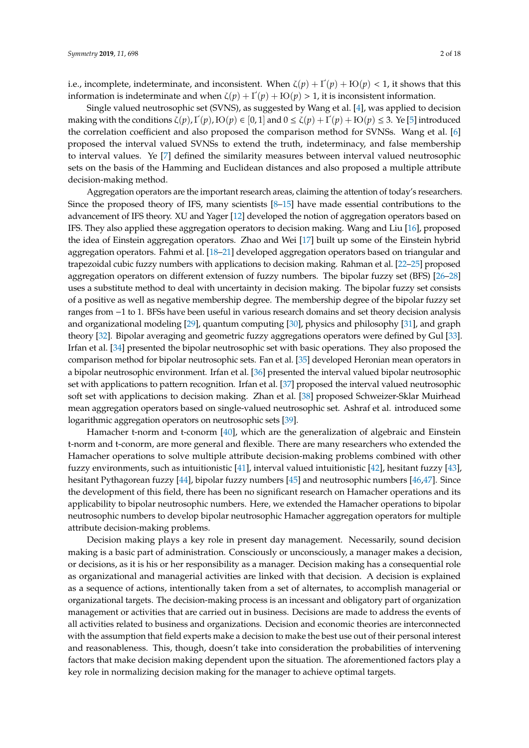i.e., incomplete, indeterminate, and inconsistent. When  $\zeta(p) + \Gamma(p) + \text{IO}(p) < 1$ , it shows that this information is indeterminate and when  $\zeta(p) + \Gamma(p) + \text{IO}(p) > 1$ , it is inconsistent information.

Single valued neutrosophic set (SVNS), as suggested by Wang et al. [\[4\]](#page-15-3), was applied to decision making with the conditions  $\zeta(p)$ ,  $\Gamma(p)$ ,  $\text{IO}(p) \in [0,1]$  and  $0 \le \zeta(p) + \Gamma(p) + \text{IO}(p) \le 3$ . Ye [\[5\]](#page-15-4) introduced the correlation coefficient and also proposed the comparison method for SVNSs. Wang et al. [\[6\]](#page-15-5) proposed the interval valued SVNSs to extend the truth, indeterminacy, and false membership to interval values. Ye [\[7\]](#page-15-6) defined the similarity measures between interval valued neutrosophic sets on the basis of the Hamming and Euclidean distances and also proposed a multiple attribute decision-making method.

Aggregation operators are the important research areas, claiming the attention of today's researchers. Since the proposed theory of IFS, many scientists [\[8–](#page-15-7)[15\]](#page-15-8) have made essential contributions to the advancement of IFS theory. XU and Yager [\[12\]](#page-15-9) developed the notion of aggregation operators based on IFS. They also applied these aggregation operators to decision making. Wang and Liu [\[16\]](#page-15-10), proposed the idea of Einstein aggregation operators. Zhao and Wei [\[17\]](#page-15-11) built up some of the Einstein hybrid aggregation operators. Fahmi et al. [\[18–](#page-16-0)[21\]](#page-16-1) developed aggregation operators based on triangular and trapezoidal cubic fuzzy numbers with applications to decision making. Rahman et al. [\[22–](#page-16-2)[25\]](#page-16-3) proposed aggregation operators on different extension of fuzzy numbers. The bipolar fuzzy set (BFS) [\[26–](#page-16-4)[28\]](#page-16-5) uses a substitute method to deal with uncertainty in decision making. The bipolar fuzzy set consists of a positive as well as negative membership degree. The membership degree of the bipolar fuzzy set ranges from −1 to 1. BFSs have been useful in various research domains and set theory decision analysis and organizational modeling [\[29\]](#page-16-6), quantum computing [\[30\]](#page-16-7), physics and philosophy [\[31\]](#page-16-8), and graph theory [\[32\]](#page-16-9). Bipolar averaging and geometric fuzzy aggregations operators were defined by Gul [\[33\]](#page-16-10). Irfan et al. [\[34\]](#page-16-11) presented the bipolar neutrosophic set with basic operations. They also proposed the comparison method for bipolar neutrosophic sets. Fan et al. [\[35\]](#page-16-12) developed Heronian mean operators in a bipolar neutrosophic environment. Irfan et al. [\[36\]](#page-16-13) presented the interval valued bipolar neutrosophic set with applications to pattern recognition. Irfan et al. [\[37\]](#page-16-14) proposed the interval valued neutrosophic soft set with applications to decision making. Zhan et al. [\[38\]](#page-16-15) proposed Schweizer-Sklar Muirhead mean aggregation operators based on single-valued neutrosophic set. Ashraf et al. introduced some logarithmic aggregation operators on neutrosophic sets [\[39\]](#page-16-16).

Hamacher t-norm and t-conorm [\[40\]](#page-16-17), which are the generalization of algebraic and Einstein t-norm and t-conorm, are more general and flexible. There are many researchers who extended the Hamacher operations to solve multiple attribute decision-making problems combined with other fuzzy environments, such as intuitionistic [\[41\]](#page-16-18), interval valued intuitionistic [\[42\]](#page-17-0), hesitant fuzzy [\[43\]](#page-17-1), hesitant Pythagorean fuzzy [\[44\]](#page-17-2), bipolar fuzzy numbers [\[45\]](#page-17-3) and neutrosophic numbers [\[46,](#page-17-4)[47\]](#page-17-5). Since the development of this field, there has been no significant research on Hamacher operations and its applicability to bipolar neutrosophic numbers. Here, we extended the Hamacher operations to bipolar neutrosophic numbers to develop bipolar neutrosophic Hamacher aggregation operators for multiple attribute decision-making problems.

Decision making plays a key role in present day management. Necessarily, sound decision making is a basic part of administration. Consciously or unconsciously, a manager makes a decision, or decisions, as it is his or her responsibility as a manager. Decision making has a consequential role as organizational and managerial activities are linked with that decision. A decision is explained as a sequence of actions, intentionally taken from a set of alternates, to accomplish managerial or organizational targets. The decision-making process is an incessant and obligatory part of organization management or activities that are carried out in business. Decisions are made to address the events of all activities related to business and organizations. Decision and economic theories are interconnected with the assumption that field experts make a decision to make the best use out of their personal interest and reasonableness. This, though, doesn't take into consideration the probabilities of intervening factors that make decision making dependent upon the situation. The aforementioned factors play a key role in normalizing decision making for the manager to achieve optimal targets.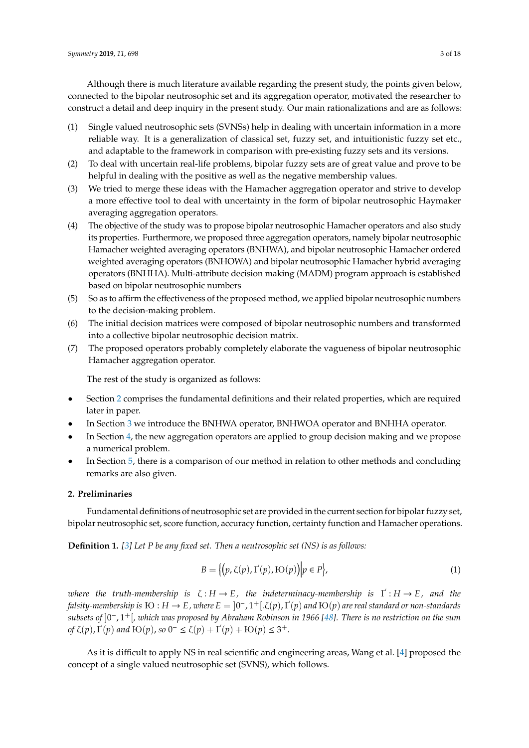Although there is much literature available regarding the present study, the points given below, connected to the bipolar neutrosophic set and its aggregation operator, motivated the researcher to construct a detail and deep inquiry in the present study. Our main rationalizations and are as follows:

- (1) Single valued neutrosophic sets (SVNSs) help in dealing with uncertain information in a more reliable way. It is a generalization of classical set, fuzzy set, and intuitionistic fuzzy set etc., and adaptable to the framework in comparison with pre-existing fuzzy sets and its versions.
- (2) To deal with uncertain real-life problems, bipolar fuzzy sets are of great value and prove to be helpful in dealing with the positive as well as the negative membership values.
- (3) We tried to merge these ideas with the Hamacher aggregation operator and strive to develop a more effective tool to deal with uncertainty in the form of bipolar neutrosophic Haymaker averaging aggregation operators.
- (4) The objective of the study was to propose bipolar neutrosophic Hamacher operators and also study its properties. Furthermore, we proposed three aggregation operators, namely bipolar neutrosophic Hamacher weighted averaging operators (BNHWA), and bipolar neutrosophic Hamacher ordered weighted averaging operators (BNHOWA) and bipolar neutrosophic Hamacher hybrid averaging operators (BNHHA). Multi-attribute decision making (MADM) program approach is established based on bipolar neutrosophic numbers
- (5) So as to affirm the effectiveness of the proposed method, we applied bipolar neutrosophic numbers to the decision-making problem.
- (6) The initial decision matrices were composed of bipolar neutrosophic numbers and transformed into a collective bipolar neutrosophic decision matrix.
- (7) The proposed operators probably completely elaborate the vagueness of bipolar neutrosophic Hamacher aggregation operator.

The rest of the study is organized as follows:

- Section [2](#page-2-0) comprises the fundamental definitions and their related properties, which are required later in paper.
- In Section [3](#page-7-0) we introduce the BNHWA operator, BNHWOA operator and BNHHA operator.
- In Section [4,](#page-12-0) the new aggregation operators are applied to group decision making and we propose a numerical problem.
- In Section [5,](#page-14-0) there is a comparison of our method in relation to other methods and concluding remarks are also given.

#### <span id="page-2-0"></span>**2. Preliminaries**

Fundamental definitions of neutrosophic set are provided in the current section for bipolar fuzzy set, bipolar neutrosophic set, score function, accuracy function, certainty function and Hamacher operations.

**Definition 1.** *[\[3\]](#page-15-2) Let P be any fixed set. Then a neutrosophic set (NS) is as follows:*

$$
B = \{ (p, \zeta(p), \Gamma(p), \text{IO}(p)) \middle| p \in P \},
$$
\n<sup>(1)</sup>

*where the truth-membership is* ζ : *H* → *E, the indeterminacy-membership is* Ґ : *H* → *E, and the falsity-membership is*  $\rm{IO}$  :  $H\to E$  , where  $E=]0^-,1^+[.\zeta(p),\Gamma(p)$  and  $\rm{IO}(p)$  are real standard or non-standards *subsets of* ]0 <sup>−</sup>, 1+[*, which was proposed by Abraham Robinson in 1966 [\[48\]](#page-17-6). There is no restriction on the sum of*  $\zeta(p)$ ,  $\Gamma(p)$  *and*  $\text{IO}(p)$ , *so*  $0^{-} \leq \zeta(p) + \Gamma(p) + \text{IO}(p) \leq 3^{+}$ .

As it is difficult to apply NS in real scientific and engineering areas, Wang et al. [\[4\]](#page-15-3) proposed the concept of a single valued neutrosophic set (SVNS), which follows.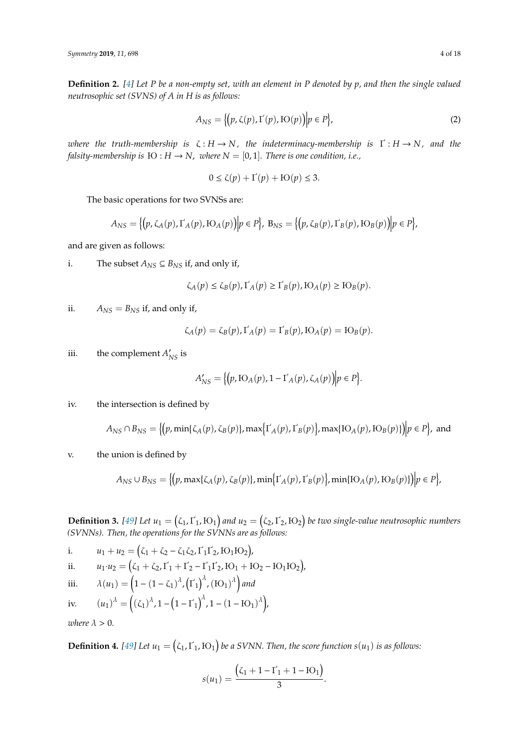**Definition 2.** *[\[4\]](#page-15-3) Let P be a non-empty set, with an element in P denoted by p, and then the single valued neutrosophic set (SVNS) of A in H is as follows:*

$$
A_{NS} = \{ (p, \zeta(p), \Gamma(p), \text{IO}(p)) \middle| p \in P \},\tag{2}
$$

*where the truth-membership is* ζ : *H* → *N, the indeterminacy-membership is* Ґ : *H* → *N, and the falsity-membership is*  $FO : H \to N$ , *where*  $N = [0, 1]$ *. There is one condition, i.e.,* 

$$
0 \le \zeta(p) + \Gamma(p) + \text{IO}(p) \le 3.
$$

The basic operations for two SVNSs are:

$$
A_{NS} = \{ (p, \zeta_A(p), \Gamma_A(p), \mathrm{IO}_A(p)) \mid p \in P \}, \ B_{NS} = \{ (p, \zeta_B(p), \Gamma_B(p), \mathrm{IO}_B(p)) \mid p \in P \},\
$$

and are given as follows:

i. The subset  $A_{NS} ⊆ B_{NS}$  if, and only if,

$$
\zeta_A(p) \le \zeta_B(p), \Gamma_A(p) \ge \Gamma_B(p), \text{IO}_A(p) \ge \text{IO}_B(p).
$$

ii.  $A_{NS} = B_{NS}$  if, and only if,

$$
\zeta_A(p) = \zeta_B(p), \Gamma_A(p) = \Gamma_B(p), \text{IO}_A(p) = \text{IO}_B(p).
$$

iii. the complement  $A'_{NS}$  is

$$
A'_{NS} = \big\{ (p, \mathrm{IO}_A(p), 1 - \mathrm{I'}_A(p), \zeta_A(p)) \big| p \in P \big\}.
$$

iv. the intersection is defined by

$$
A_{NS} \cap B_{NS} = \{ (p, \min\{\zeta_A(p), \zeta_B(p)\}, \max\{\Gamma_A(p), \Gamma_B(p)\}, \max\{\mathrm{IO}_A(p), \mathrm{IO}_B(p)\}\) | p \in P \}, \text{ and}
$$

v. the union is defined by

$$
A_{NS} \cup B_{NS} = \{ (p, \max\{\zeta_A(p), \zeta_B(p)\}, \min\{\Gamma_A(p), \Gamma_B(p)\}, \min\{\mathrm{IO}_A(p), \mathrm{IO}_B(p)\}\}\big| p \in P \},\
$$

**Definition 3.** [\[49\]](#page-17-7) Let  $u_1 = (\zeta_1, \Gamma_1, \text{IO}_1)$  and  $u_2 = (\zeta_2, \Gamma_2, \text{IO}_2)$  be two single-value neutrosophic numbers *(SVNNs). Then, the operations for the SVNNs are as follows:*

i.  $u_1 + u_2 = (\zeta_1 + \zeta_2 - \zeta_1 \zeta_2, \Gamma_1 \Gamma_2, \text{IO}_1 \text{IO}_2),$ ii.  $u_1 \cdot u_2 = (\zeta_1 + \zeta_2, \zeta_1 + \zeta_2 - \zeta_1 \zeta_2, \zeta_1 + \zeta_2 - \zeta_1 \zeta_2).$ iii.  $\lambda(u_1) = \left(1 - (1 - \zeta_1)^{\lambda}, (\Gamma_1)^{\lambda}, (\mathrm{IO}_1)^{\lambda}\right)$  and iv.  $(u_1)^{\lambda} = ((\zeta_1)^{\lambda}, 1 - (1 - \zeta_1)^{\lambda}, 1 - (1 - \zeta_1)^{\lambda}).$ 

*where*  $\lambda > 0$ .

**Definition 4.** [\[49\]](#page-17-7) Let  $u_1 = (\zeta_1, \zeta_1, \mathrm{IO}_1)$  be a SVNN. Then, the score function  $s(u_1)$  is as follows:

$$
s(u_1) = \frac{(\zeta_1 + 1 - \Gamma_1 + 1 - \text{IO}_1)}{3}.
$$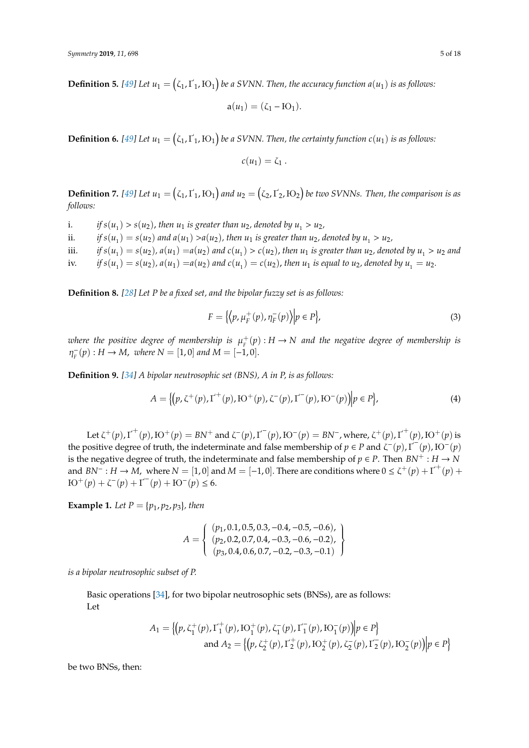**Definition 5.** [\[49\]](#page-17-7) Let  $u_1 = (\zeta_1, \Gamma_1, \text{IO}_1)$  be a SVNN. Then, the accuracy function  $a(u_1)$  is as follows:

$$
a(u_1)=(\zeta_1 - IO_1).
$$

**Definition 6.** [\[49\]](#page-17-7) Let  $u_1 = (\zeta_1, \Gamma_1, \text{IO}_1)$  be a SVNN. Then, the certainty function  $c(u_1)$  is as follows:

$$
c(u_1)=\zeta_1.
$$

**Definition 7.** [\[49\]](#page-17-7) Let  $u_1 = (\zeta_1, \Gamma_1, \text{IO}_1)$  and  $u_2 = (\zeta_2, \Gamma_2, \text{IO}_2)$  be two SVNNs. Then, the comparison is as *follows:*

i. *if*  $s(u_1) > s(u_2)$ , then  $u_1$  is greater than  $u_2$ , denoted by  $u_1 > u_2$ ,

ii. *if*  $s(u_1) = s(u_2)$  and  $a(u_1) > a(u_2)$ , then  $u_1$  is greater than  $u_2$ , denoted by  $u_1 > u_2$ ,

iii.  $if s(u_1) = s(u_2)$ ,  $a(u_1) = a(u_2)$  and  $c(u_1) > c(u_2)$ , then  $u_1$  is greater than  $u_2$ , denoted by  $u_1 > u_2$  and

iv. *if*  $s(u_1) = s(u_2)$ ,  $a(u_1) = a(u_2)$  and  $c(u_1) = c(u_2)$ , then  $u_1$  is equal to  $u_2$ , denoted by  $u_1 = u_2$ .

**Definition 8.** *[\[28\]](#page-16-5) Let P be a fixed set, and the bipolar fuzzy set is as follows:*

$$
F = \left\{ \left\langle p, \mu_F^+(p), \eta_F^-(p) \right\rangle \middle| p \in P \right\},\tag{3}
$$

where the positive degree of membership is  $\mu_{\scriptscriptstyle \text{F}}^+(p)$  :  $H\to N$  and the negative degree of membership is  $\eta_{\scriptscriptstyle E}^ F_F^-(p)$ : *H* → *M*, *where N* = [1,0] *and M* = [−1,0].

**Definition 9.** *[\[34\]](#page-16-11) A bipolar neutrosophic set (BNS), A in P, is as follows:*

$$
A = \{ (p, \zeta^+(p), \Gamma^+(p), \text{IO}^+(p), \zeta^-(p), \Gamma^-(p), \text{IO}^-(p) ) \big| p \in P \},\tag{4}
$$

Let  $\zeta^+(p)$ ,  $\Gamma^+(p)$ ,  $\text{IO}^+(p) = \text{BN}^+$  and  $\zeta^-(p)$ ,  $\Gamma^-(p)$ ,  $\text{IO}^-(p) = \text{BN}^-$ , where,  $\zeta^+(p)$ ,  $\Gamma^+(p)$ ,  $\text{IO}^+(p)$  is the positive degree of truth, the indeterminate and false membership of  $p \in P$  and  $\zeta^-(p)$ ,  $\Gamma^-(p)$ ,  $\mathrm{IO}^-(p)$ is the negative degree of truth, the indeterminate and false membership of  $p \in P$ . Then  $BN^+ : H \to N$ and  $BN^{-}: H \to M$ , where  $N = [1, 0]$  and  $M = [-1, 0]$ . There are conditions where  $0 \le \zeta^+(p) + \Gamma^+(p)$  $\text{IO}^+(p) + \zeta^-(p) + \text{I}'^-(p) + \text{IO}^-(p) \leq 6.$ 

**Example 1.** Let  $P = \{p_1, p_2, p_3\}$ , then

$$
A = \left\{ \begin{array}{l} (p_1, 0.1, 0.5, 0.3, -0.4, -0.5, -0.6), \\ (p_2, 0.2, 0.7, 0.4, -0.3, -0.6, -0.2), \\ (p_3, 0.4, 0.6, 0.7, -0.2, -0.3, -0.1) \end{array} \right\}
$$

*is a bipolar neutrosophic subset of P.*

Basic operations [\[34\]](#page-16-11), for two bipolar neutrosophic sets (BNSs), are as follows: Let

$$
A_1 = \left\{ \left( p, \zeta_1^+(p), \Gamma_1^+(p), \mathrm{IO}_1^+(p), \zeta_1^-(p), \Gamma_1^-(p), \mathrm{IO}_1^-(p) \right) \middle| p \in P \right\}
$$
  
and 
$$
A_2 = \left\{ \left( p, \zeta_2^+(p), \Gamma_2^+(p), \mathrm{IO}_2^+(p), \zeta_2^-(p), \Gamma_2^-(p), \mathrm{IO}_2^-(p) \right) \middle| p \in P \right\}
$$

be two BNSs, then: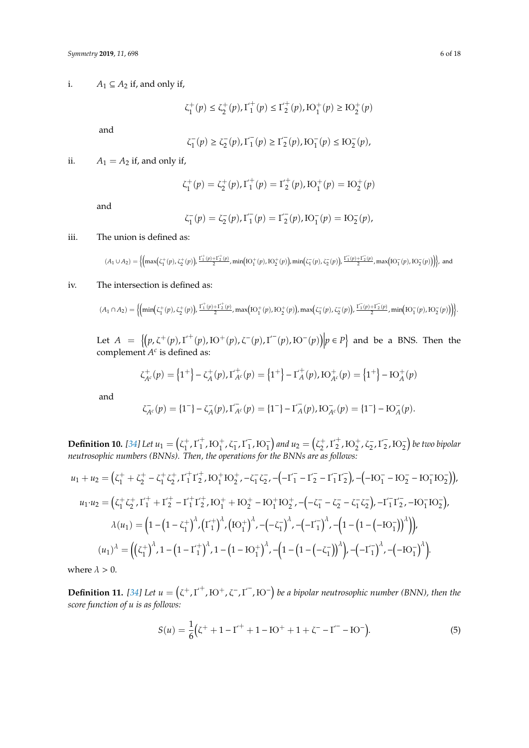i. *A*<sub>1</sub>  $\subseteq$  *A*<sub>2</sub> if, and only if,

$$
\zeta^+_1(p) \le \zeta^+_2(p), \Gamma^+_1(p) \le \Gamma^+_2(p), \mathrm{IO}^+_1(p) \ge \mathrm{IO}^+_2(p)
$$

and

$$
\zeta^-_1(p) \geq \zeta^-_2(p), \Gamma_1^-(p) \geq \Gamma_2^-(p), \mathrm{IO}^-_1(p) \leq \mathrm{IO}^-_2(p),
$$

ii.  $A_1 = A_2$  if, and only if,

$$
\zeta_1^+(p)=\zeta_2^+(p), \Gamma_1^+(p)=\Gamma_2^+(p), \mathrm{IO}_1^+(p)=\mathrm{IO}_2^+(p)
$$

and

$$
\zeta_1^-(p) = \zeta_2^-(p), \Gamma_1^-(p) = \Gamma_2^-(p), \mathrm{IO}_1^-(p) = \mathrm{IO}_2^-(p),
$$

#### iii. The union is defined as:

 $(A_1 \cup A_2) = \Big\{ \Big( \max\bigl(\zeta_1^+(p),\zeta_2^+(p)\bigr), \frac{\Gamma_1^+(p) + \Gamma_2^+(p)}{2}, \min\bigl(\mathrm{IO}_1^+(p),\mathrm{IO}_2^+(p)\bigr), \min\bigl(\zeta_1^-(p),\zeta_2^-(p)\bigr), \frac{\Gamma_1^-(p) + \Gamma_2^-(p)}{2}, \max\bigl(\mathrm{IO}_1^-(p),\mathrm{IO}_2^-(p)\bigr) \Bigr) \Big\}, \text{ and }$ 

# iv. The intersection is defined as:

$$
(A_1 \cap A_2) = \Big\{ \Big(\!\min\!\left(\zeta_1^+(p), \zeta_2^+(p)\right)\!, \tfrac{\Gamma_1^+(p) + \Gamma_2^+(p)}{2}, \max\!\left\{\! \operatorname{IO}_1^+(p), \operatorname{IO}_2^+(p)\right\}\!, \max\!\left(\zeta_1^-(p), \zeta_2^-(p)\right)\!, \tfrac{\Gamma_1^-(p) + \Gamma_2^-(p)}{2}, \min\!\left\{\!\operatorname{IO}_1^-(p), \operatorname{IO}_2^-(p)\right\}\!\right\}\! \Big\}.
$$

Let  $A = \{ (p, \zeta^+(p), \Gamma^+(p), \text{IO}^+(p), \zeta^-(p), \Gamma^-(p), \text{IO}^-(p) \} \mid p \in P \}$  and be a BNS. Then the complement  $A^c$  is defined as:

$$
\zeta_{A^c}^+(p) = \left\{1^+\right\} - \zeta_A^+(p), \Gamma_{A^c}^+(p) = \left\{1^+\right\} - \Gamma_A^+(p), \mathrm{IO}_{A^c}^+(p) = \left\{1^+\right\} - \mathrm{IO}_A^+(p)
$$

and

$$
\zeta_{A^c}^-(p) = \{1^-\} - \zeta_A^-(p), \Gamma_{A^c}^-(p) = \{1^-\} - \Gamma_A^-(p), \mathrm{IO}_{A^c}^-(p) = \{1^-\} - \mathrm{IO}_{A}^-(p).
$$

**Definition 10.** [\[34\]](#page-16-11) Let  $u_1 = ( \zeta_1^+ )$  $t_1^+$ ,  $\Gamma_1^+$  $_1^+$ ,  $\mathrm{IO}_1^+$ ,  $\zeta_1^ \frac{1}{1}$ ,  $\Gamma_1^ \binom{1}{1}$ , IO<sub>1</sub> and  $u_2 = \left(\zeta_2^+\right)$  $_2^+$ ,  $\Gamma_2^+$  $_{2}^{+}$ ,  $\mathrm{IO}_{2}^{+}$ ,  $\zeta_{2}^{-}$  $\frac{1}{2}$ ,  $\Gamma_2^ \binom{1}{2}$ ,  $\text{HO}_2^{\text{-}}$ ) be two bipolar *neutrosophic numbers (BNNs). Then, the operations for the BNNs are as follows:*

$$
u_1 + u_2 = (\zeta_1^+ + \zeta_2^+ - \zeta_1^+ \zeta_2^+, \Gamma_1^+ \Gamma_2^+, \text{IO}_1^+ \text{IO}_2^+, -\zeta_1^- \zeta_2^-, -(-\Gamma_1^- - \Gamma_2^- - \Gamma_1^- \Gamma_2^-), -(-\text{IO}_1^- - \text{IO}_2^- - \text{IO}_1^- \text{IO}_2^-)),
$$
  
\n
$$
u_1 \cdot u_2 = (\zeta_1^+ \zeta_2^+, \Gamma_1^+ + \Gamma_2^+ - \Gamma_1^+ \Gamma_2^+, \text{IO}_1^+ + \text{IO}_2^+ - \text{IO}_1^+ \text{IO}_2^+, -(-\zeta_1^- - \zeta_2^- - \zeta_1^- \zeta_2^-), -\Gamma_1^- \Gamma_2^-, -\text{IO}_1^- \text{IO}_2^-),
$$
  
\n
$$
\lambda(u_1) = (1 - (1 - \zeta_1^+)^{\lambda}, (\Gamma_1^+)^{\lambda}, (\text{IO}_1^+)^{\lambda}, -(-\zeta_1^-)^{\lambda}, -(-\Gamma_1^-)^{\lambda}, -(1 - (1 - (-\text{IO}_1^-))^{\lambda})),
$$
  
\n
$$
(u_1)^{\lambda} = ((\zeta_1^+)^{\lambda}, 1 - (1 - \Gamma_1^+)^{\lambda}, 1 - (1 - \text{IO}_1^+)^{\lambda}, -(1 - (1 - (-\zeta_1^-))^{\lambda}), -(-\Gamma_1^-)^{\lambda}, -(-\text{IO}_1^-)^{\lambda}).
$$

where  $\lambda > 0$ .

**Definition 11.** [\[34\]](#page-16-11) Let  $u = (z^+, t^+, \text{IO}^+, \text{C}^-, t^-, \text{IO}^-)$  be a bipolar neutrosophic number (BNN), then the *score function of u is as follows:*

$$
S(u) = \frac{1}{6}(\zeta^{+} + 1 - \Gamma^{+} + 1 - \text{IO}^{+} + 1 + \zeta^{-} - \Gamma^{-} - \text{IO}^{-}).
$$
\n(5)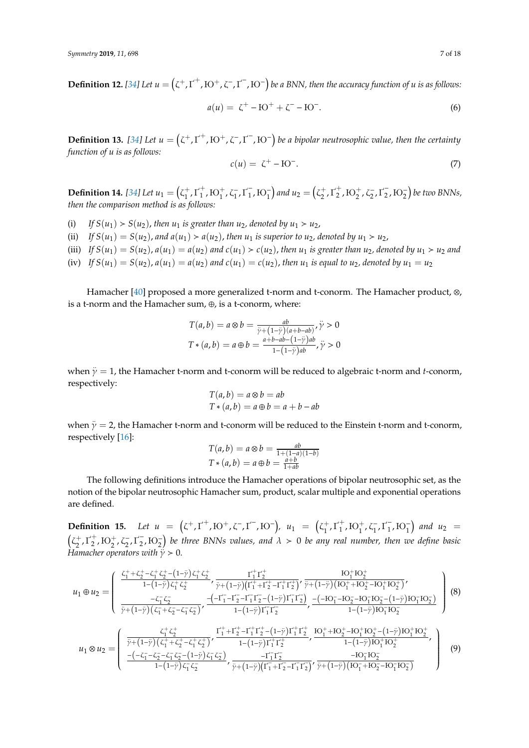**Definition 12.** [\[34\]](#page-16-11) Let  $u = (z^+, t'^+, \text{IO}^+, \text{C}^-, t'^-, \text{IO}^-)$  be a BNN, then the accuracy function of *u* is as follows:

$$
a(u) = \zeta^+ - \mathrm{IO}^+ + \zeta^- - \mathrm{IO}^-.
$$
 (6)

**Definition 13.** [\[34\]](#page-16-11) Let  $u = (z^+, \Gamma^+, \text{IO}^+, \zeta^-, \Gamma^-, \text{IO}^-)$  be a bipolar neutrosophic value, then the certainty *function of u is as follows:*

$$
c(u) = \zeta^+ - \mathrm{IO}^-.
$$
 (7)

**Definition 14.** [\[34\]](#page-16-11) Let  $u_1 = ( \zeta_1^+ )$  $^{+}_{1}$ ,  $\Gamma^{+}_{1}$  $_1^+$ ,  $\mathrm{IO}_1^+$ ,  $\zeta_1^ \frac{1}{1}$ ,  $\Gamma_1^ \binom{1}{1}$ , **i**O<sub>1</sub> $\binom{1}{2}$  and  $u_2 = \left(\zeta_2^+\right)$  $_2^+$ ,  $\Gamma_2^+$  $_{2}^{+}$ ,  $\mathrm{IO}_{2}^{+}$ ,  $\zeta_{2}^{-}$  $\frac{1}{2}$ ,  $\Gamma_2^ \binom{1}{2}$ ,  $\text{IO}_2^-$ ) be two BNNs, *then the comparison method is as follows:*

- (i) If  $S(u_1) > S(u_2)$ , then  $u_1$  *is greater than u<sub>2</sub>*, *denoted by*  $u_1 > u_2$ ,
- (ii) *If*  $S(u_1) = S(u_2)$ , and  $a(u_1) > a(u_2)$ , then  $u_1$  is superior to  $u_2$ , denoted by  $u_1 > u_2$ ,
- (iii) If  $S(u_1) = S(u_2)$ ,  $a(u_1) = a(u_2)$  and  $c(u_1) > c(u_2)$ , then  $u_1$  is greater than  $u_2$ , denoted by  $u_1 > u_2$  and
- (iv) *If*  $S(u_1) = S(u_2)$ ,  $a(u_1) = a(u_2)$  and  $c(u_1) = c(u_2)$ , then  $u_1$  is equal to  $u_2$ , denoted by  $u_1 = u_2$

Hamacher [\[40\]](#page-16-17) proposed a more generalized t-norm and t-conorm. The Hamacher product, ⊗, is a t-norm and the Hamacher sum, ⊕, is a t-conorm, where:

$$
T(a,b) = a \otimes b = \frac{ab}{\overline{\gamma} + (1-\overline{\gamma})(a+b-ab)}, \overline{\gamma} > 0
$$
  

$$
T * (a,b) = a \oplus b = \frac{a+b-ab - (1-\overline{\gamma})ab}{1 - (1-\overline{\gamma})ab}, \overline{\gamma} > 0
$$

when  $\ddot{y} = 1$ , the Hamacher t-norm and t-conorm will be reduced to algebraic t-norm and *t*-conorm, respectively:

$$
T(a,b) = a \otimes b = ab
$$
  

$$
T*(a,b) = a \oplus b = a + b - ab
$$

when  $\ddot{y} = 2$ , the Hamacher t-norm and t-conorm will be reduced to the Einstein t-norm and t-conorm, respectively [\[16\]](#page-15-10):

$$
T(a,b) = a \otimes b = \frac{ab}{1 + (1 - a)(1 - b)}
$$

$$
T * (a,b) = a \oplus b = \frac{a+b}{1 + ab}
$$

The following definitions introduce the Hamacher operations of bipolar neutrosophic set, as the notion of the bipolar neutrosophic Hamacher sum, product, scalar multiple and exponential operations are defined.

**Definition 15.** *Let*  $u = (z^+, \Gamma^+, \text{IO}^+, \text{C}^-, \Gamma^-, \text{IO}^-)$ ,  $u_1 = (z_1^+, \text{IO}^+, \text{C}^-, \text{IO}^-, \text{IO}^-, \text{III}^-, \text{III}^-, \text{III}^-, \text{III}^-, \text{III}^-, \text{III}^-, \text{III}^-, \text{III}^-, \text{III}^-, \text{III}^-, \text{III}^-, \text{III}^-, \text{III}^-, \text{III}^-, \text{III}^-, \text{III}^-, \text{III}^-, \$  $_1^+$ ,  $\Gamma_1^+$  $_1^+$ ,  $\mathrm{IO}_1^+$ ,  $\zeta_1^ \frac{1}{1}$ ,  $\Gamma_1^ \binom{1}{1}$ , **i**O<sub>1</sub></sub> and **u**<sub>2</sub> =  $(\zeta_2^+$  $_2^+$ ,  $\Gamma_2^+$  $_2^+$ ,  $\mathrm{IO}_2^+$ ,  $\zeta_2^ \frac{1}{2}$ ,  $\Gamma_2^ \binom{1}{2}$ , **i**O<sub>2</sub>) be three BNNs values, and  $\lambda > 0$  be any real number, then we define basic *Hamacher operators with*  $\gamma > 0$ .

$$
u_{1} \oplus u_{2} = \begin{pmatrix} \frac{\zeta_{1}^{+} + \zeta_{2}^{+} - \zeta_{1}^{+} \zeta_{2}^{+} - (1 - \gamma) \zeta_{1}^{+} \zeta_{2}^{+}}{1 - (1 - \gamma) \zeta_{1}^{+} \zeta_{2}^{+}} & \frac{\Gamma_{1}^{+} \Gamma_{2}^{+}}{\gamma + (1 - \gamma) (\Gamma_{1}^{+} + \Gamma_{2}^{+} - \Gamma_{1}^{+} \Gamma_{2}^{+})'} & \frac{\mathrm{IO}_{1}^{+} \mathrm{IO}_{2}^{+}}{\gamma + (1 - \gamma) (\mathrm{IO}_{1}^{+} + \mathrm{IO}_{2}^{+} - \mathrm{IO}_{1}^{+} \mathrm{IO}_{2}^{+})'} \\ \frac{-\zeta_{1}^{-} \zeta_{2}^{-}}{\gamma + (1 - \gamma) (\zeta_{1}^{-} + \zeta_{2}^{-} - \zeta_{1}^{-} \zeta_{2}^{-})'} & \frac{-(-\Gamma_{1}^{-} - \Gamma_{2}^{-} - \Gamma_{1}^{-} \Gamma_{2}^{-} - (1 - \gamma) \Gamma_{1}^{-} \Gamma_{2}^{-})}{1 - (1 - \gamma) \Gamma_{1}^{-} \Gamma_{2}^{-}} & -\frac{(-\mathrm{IO}_{1}^{-} - \mathrm{IO}_{2}^{-} - \mathrm{IO}_{1}^{-} \mathrm{IO}_{2}^{-} - (1 - \gamma) \mathrm{IO}_{1}^{-} \mathrm{IO}_{2}^{-})}{1 - (1 - \gamma) \mathrm{IO}_{1}^{-} \mathrm{IO}_{2}^{-}} \end{pmatrix} (8)
$$
\n
$$
u_{1} \otimes u_{2} = \begin{pmatrix} \frac{\zeta_{1}^{+} \zeta_{2}^{+}}{\gamma + (1 - \gamma) (\zeta_{1}^{+} + \zeta_{2}^{+} - \zeta_{1}^{+} \zeta_{2}^{+})'} & \frac{\Gamma_{1}^{+} + \Gamma_{2}^{+} - \Gamma_{1}^{+} \Gamma_{2}^{+} - (1 - \gamma) \Gamma_{1}^{+} \Gamma_{2}^{+}}{\gamma + (1 - \gamma) \Gamma_{1}^{-} \Gamma_{2}^{+}} & \frac{\mathrm{IO}_{1}^{+} + \mathrm{IO}_{2}^{+} - \mathrm{IO}_{1}^{-} \mathrm{IO}_{2}^{-} - (1 - \gamma) \mathrm{IO}_{1}^{-} \mathrm{IO}_{2}^{-}}{\gamma + (1 - \gamma) \Gamma_{1}^{-}
$$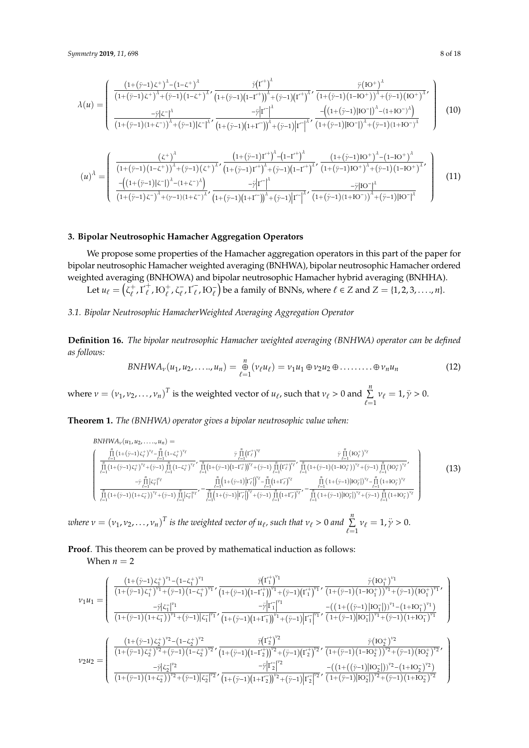$$
\lambda(u) = \begin{pmatrix}\n\frac{\left(1+(\ddot{y}-1)\zeta^{+}\right)^{\lambda} - \left(1-\zeta^{+}\right)^{\lambda}}{\left(1+(\dot{y}-1)\zeta^{+}\right)^{\lambda} + (\ddot{y}-1)\left(1-\zeta^{+}\right)^{\lambda}} \cdot \frac{\ddot{y}\left(\Gamma^{+}\right)^{\lambda}}{\left(1+(\dot{y}-1)\left(1-\Gamma^{+}\right)\right)^{\lambda} + (\ddot{y}-1)\left(\Gamma^{+}\right)^{\lambda}} \cdot \frac{\ddot{y}\left(\mathrm{IO}^{+}\right)^{\lambda}}{\left(1+(\dot{y}-1)\left(1-\mathrm{IO}^{+}\right)\right)^{\lambda} + (\ddot{y}-1)\left(\mathrm{IO}^{+}\right)^{\lambda}} \\
-\frac{\ddot{y}\left|\zeta^{-}\right|^{\lambda}}{\left(1+(\dot{y}-1)\left(1+\zeta^{-}\right)\right)^{\lambda} + (\ddot{y}-1)\left|\zeta^{-}\right|^{\lambda}} \cdot \frac{-\ddot{y}\left|\Gamma^{-}\right|^{\lambda}}{\left(1+(\dot{y}-1)\left(1+\Gamma^{-}\right)\right)^{\lambda} + (\ddot{y}-1)\left|\Gamma^{-}\right|^{\lambda}} \cdot \frac{-\left(\left(1+(\ddot{y}-1)\left|\mathrm{IO}^{-}\right|\right)^{\lambda} - \left(1+\mathrm{IO}^{-}\right)^{\lambda}\right)}{\left(1+(\dot{y}-1)\left(1+\mathrm{IO}^{-}\right)\right)^{\lambda}}\n\end{pmatrix} \tag{10}
$$

$$
(u)^{\lambda} = \begin{pmatrix} \frac{(z^{+})^{\lambda}}{(1+(\ddot{\gamma}-1)(1-c^{+}))^{\lambda}+(\dot{\gamma}-1)(z^{+})^{\lambda}} \cdot \frac{(1+(\ddot{\gamma}-1)T^{+})^{\lambda}-(1-T^{+})^{\lambda}}{(1+(\ddot{\gamma}-1)T^{+})^{\lambda}+(\dot{\gamma}-1)(1-T^{+})^{\lambda}} \cdot \frac{(1+(\ddot{\gamma}-1)T^{+})^{\lambda}-(1-TC^{+})^{\lambda}}{(1+(\ddot{\gamma}-1)T^{+})^{\lambda}-(1+C^{-})^{\lambda}} \\ \frac{-(1+(\ddot{\gamma}-1)T^{+})^{\lambda}-(1+C^{-})^{\lambda}}{(1+(\ddot{\gamma}-1)T^{+})^{\lambda}+(\dot{\gamma}-1)(1+CT)^{\lambda}} \cdot \frac{-\ddot{\gamma}|T^{-}|^{\lambda}}{(\lambda+(\ddot{\gamma}-1)T^{+})^{\lambda}+(\ddot{\gamma}-1)|T^{-}|^{\lambda}} \cdot \frac{-\ddot{\gamma}|T^{-}|^{\lambda}}{(1+(\ddot{\gamma}-1)(1+TC^{-})^{\lambda}+(\ddot{\gamma}-1)|T^{-}|^{\lambda}} \end{pmatrix}
$$
(11)

## <span id="page-7-0"></span>**3. Bipolar Neutrosophic Hamacher Aggregation Operators**

We propose some properties of the Hamacher aggregation operators in this part of the paper for bipolar neutrosophic Hamacher weighted averaging (BNHWA), bipolar neutrosophic Hamacher ordered weighted averaging (BNHOWA) and bipolar neutrosophic Hamacher hybrid averaging (BNHHA).

Let  $u_\ell = (\zeta_\ell^+)$  $\frac{1}{\ell}$ ,  $\Gamma_{\ell}^{+}$  $_{\ell}^{+}$ ,  $\mathrm{IO}_{\ell}^{+}$ ,  $\zeta_{\ell}^{-}$  $\frac{1}{\ell}, \Gamma_{\ell}^{-}$  $\overline{\ell}_\ell$ , IO $\overline{\ell}$ ) be a family of BNNs, where  $\ell \in \mathbb{Z}$  and  $\mathbb{Z} = \{1, 2, 3, ..., n\}.$ 

# *3.1. Bipolar Neutrosophic HamacherWeighted Averaging Aggregation Operator*

**Definition 16.** *The bipolar neutrosophic Hamacher weighted averaging (BNHWA) operator can be defined as follows:*

$$
BNHWA_v(u_1, u_2, \ldots, u_n) = \underset{\ell=1}{\overset{n}{\oplus}} (v_{\ell}u_{\ell}) = v_1u_1 \oplus v_2u_2 \oplus \ldots \ldots \oplus v_nu_n \tag{12}
$$

where  $v = (v_1, v_2, ..., v_n)^T$  is the weighted vector of  $u_\ell$ , such that  $v_\ell > 0$  and  $\sum_{\ell=1}^n v_\ell = 1$ ,  $\ddot{y} > 0$ .

**Theorem 1.** *The (BNHWA) operator gives a bipolar neutrosophic value when:*

$$
BNHWA_{\nu}(u_{1}, u_{2}, \ldots, u_{n}) = \frac{\prod_{\ell=1}^{n} (1+(\tilde{\gamma}-1)\zeta_{\ell}^{+})^{\nu_{\ell}} - \prod_{\ell=1}^{n} (1-\zeta_{\ell}^{+})^{\nu_{\ell}}}{\prod_{\ell=1}^{n} (1+(\tilde{\gamma}-1)\zeta_{\ell}^{+})^{\nu_{\ell}}+(\tilde{\gamma}-1)} \prod_{\ell=1}^{n} (1-\zeta_{\ell}^{+})^{\nu_{\ell}}'} \frac{\tilde{\gamma}_{\ell=1}^{n} (r^{+})^{\nu_{\ell}}}{\prod_{\ell=1}^{n} (1+(\tilde{\gamma}-1)(1-\tilde{\gamma}_{\ell}^{+})^{\nu_{\ell}}'} \prod_{\ell=1}^{n} (1+(\tilde{\gamma}-1)(1-\tilde{\gamma}_{\ell}^{+}))^{\nu_{\ell}}+(\tilde{\gamma}-1)} \prod_{\ell=1}^{n} (r^{+})^{\nu_{\ell}}'} \frac{\tilde{\gamma}_{\ell=1}^{n} (r^{+})^{\nu_{\ell}}}{\prod_{\ell=1}^{n} (1+(\tilde{\gamma}-1)(1-\tilde{\gamma}_{\ell}^{+}))^{\nu_{\ell}}+(\tilde{\gamma}-1)} \prod_{\ell=1}^{n} (1+(\tilde{\gamma}-1)(1-\tilde{\gamma}_{\ell}^{+}))^{\nu_{\ell}}}{\prod_{\ell=1}^{n} (1+(\tilde{\gamma}-1)(1+\tilde{\gamma}_{\ell}^{-}))^{\nu_{\ell}}+(\tilde{\gamma}-1)} \prod_{\ell=1}^{n} (1+(\tilde{\gamma}-1)|r^{+}_{\ell})^{\nu_{\ell}}'} - \frac{\prod_{\ell=1}^{n} (1+(\tilde{\gamma}-1)(1-\tilde{\gamma}_{\ell}^{+}))^{\nu_{\ell}}}{\prod_{\ell=1}^{n} (1+(\tilde{\gamma}-1)(1-\tilde{\gamma}_{\ell}^{-}))^{\nu_{\ell}}}
$$
\n(13)

*where*  $v = (v_1, v_2, \dots, v_n)^T$  *is the weighted vector of*  $u_\ell$ *, such that*  $v_\ell > 0$  *and*  $\sum_{\ell=1}^n v_\ell = 1$ ,  $\ddot{\gamma} > 0$ .

**Proof**. This theorem can be proved by mathematical induction as follows: When  $n = 2$ 

$$
\nu_1 u_1 = \left(\begin{array}{cc} \frac{\left(1+(\ddot{\gamma}-1)\zeta_1^+\right)^{\nu_1} - \left(1-\zeta_1^+\right)^{\nu_1}}{\left(1+(\dot{\gamma}-1)\zeta_1^+\right)^{\nu_1} + (\ddot{\gamma}-1)\left(1-\zeta_1^+\right)^{\nu_1}} \frac{\ddot{\gamma}(\Gamma_1^+)^{\nu_1}}{\left(1+(\dot{\gamma}-1)(1-\Gamma_1^+)\right)^{\nu_1} + (\ddot{\gamma}-1)\left(1-\Gamma_1^+\right)^{\nu_1}} \frac{\ddot{\gamma}(\Gamma_1^+)^{\nu_1}}{\left(1+(\dot{\gamma}-1)(1-\Gamma_1^+)\right)^{\nu_1} + (\ddot{\gamma}-1)\left(\Gamma_1^+\right)^{\nu_1}} \\ \frac{-\ddot{\gamma}|\zeta_1^-|^{\nu_1}}{\left(1+(\dot{\gamma}-1)(1+\zeta_1^-)\right)^{\nu_1} + (\ddot{\gamma}-1)|\zeta_1^-|^{\nu_1}} \frac{-\ddot{\gamma}|\Gamma_1^-|^{\nu_1}}{\left(1+(\dot{\gamma}-1)(1+\Gamma_1^-)\right)^{\nu_1} + (\ddot{\gamma}-1)\left|\Gamma_1^-\right|^{\nu_1}} \frac{-\left(\left(1+\left((\dot{\gamma}-1)\left|I\text{O}_1^-\right|\right)\right)^{\nu_1} - \left(1+\text{O}_1^-\right)^{\nu_1}\right)}{\left(1+(\dot{\gamma}-1)\zeta_1^+\right)^{\nu_2} + (\ddot{\gamma}-1)\left(1-\zeta_2^+\right)^{\nu_2}} \frac{\ddot{\gamma}(\Gamma_2^+)^{\nu_2}}{\left(1+(\dot{\gamma}-1)(1-\Gamma_2^+)^{\nu_2}} \frac{\ddot{\gamma}(\Gamma_2^+)^{\nu_2}}{\left(1+(\dot{\gamma}-1)(1-\Gamma_2^+)\right)^{\nu_2} + (\ddot{\gamma}-1)\left(1-\Gamma_2^+\right)^{\nu_2}} \frac{\ddot{\gamma}(\Gamma_2^+)^{\nu_2}}{\left(1+(\dot{\gamma}-1)(1-\Gamma_2^+)^{\nu_2}} \right)}{\left(1+(\dot{\gamma}-1)(1+\zeta_2^-)^{\nu_2} + (\ddot{\gamma}-1)\left|\Gamma_2^-\right|^{\nu_2}} \frac{-\dot{\gamma}|\Gamma_2^-|^{\nu_2}}{\left(1+(\dot{\gamma}-1)(1+\Gamma_2^-)\right)^{\nu_2} + (\ddot
$$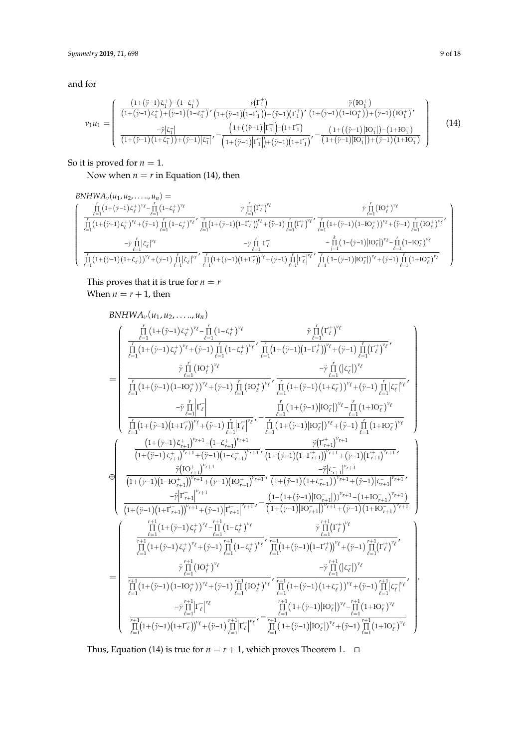and for

$$
v_1 u_1 = \begin{pmatrix} \frac{(1+(\ddot{y}-1)\zeta_1^+) - (1-\zeta_1^+)}{(1+(\dot{y}-1)\zeta_1^+) + (\ddot{y}-1)(1-\zeta_1^+)} \frac{\ddot{y}(\Gamma_1^+)}{(1+(\dot{y}-1)(1-\Gamma_1^+))+(\ddot{y}-1)(\Gamma_1^+)} \frac{\ddot{y}(\Gamma_0^+)}{(1+(\dot{y}-1)(1-\Gamma_0^+))+(\ddot{y}-1)(\Gamma_0^+)} \\ \frac{-\ddot{y}|\zeta_1^-|}{(1+(\dot{y}-1)(1+\zeta_1^-)) + (\ddot{y}-1)|\zeta_1^-|} \frac{\left(1+((\ddot{y}-1)\left|\Gamma_1^-\right|\right) - (1+\Gamma_1^-)}{\left(1+((\ddot{y}-1)\left|\Gamma_1^-\right|\right) + (\ddot{y}-1)(1+\Gamma_1^-)} - \frac{\left(1+((\ddot{y}-1)\left|\Gamma_0^-\right|\right) - (1+\Gamma_0^-)}{\left(1+((\ddot{y}-1)\left|\Gamma_0^-\right|\right) + (\ddot{y}-1)(1+\Gamma_0^-)} \end{pmatrix}
$$
(14)

So it is proved for  $n = 1$ .

Now when  $n = r$  in Equation (14), then

$$
\begin{array}{l} \hspace{-0.5cm} \text{BNHWA}_{\nu}(u_1,u_2,\ldots,u_n) = \\ \hspace{-0.5cm}\int\limits_{\tau=1}^r (1+(\ddot{\gamma}-1)\zeta_\ell^+)^{v_\ell} \int\limits_{\ell=1}^r (1-\zeta_\ell^+)^{v_\ell} \frac{\ddot{\gamma}\prod\limits_{\ell=1}^r (1+\ddot{\gamma}-1)^{\ell}}{\left[1-(\zeta_\ell^+)^{v_\ell} + (\ddot{\gamma}-1)\prod\limits_{\ell=1}^r (1+(\ddot{\gamma}-1)(1-\zeta_\ell^+)^{v_\ell}\right]} \frac{\ddot{\gamma}\prod\limits_{\ell=1}^r (1+\ddot{\gamma}-1)^{\ell}}{\left[1-(\zeta_\ell^+)^{v_\ell} + (\ddot{\gamma}-1)\prod\limits_{\ell=1}^r (1+(\ddot{\gamma}-1)(1-\zeta_\ell^+)^{v_\ell}\right]} \frac{\ddot{\gamma}\prod\limits_{\ell=1}^r (1+\dot{\gamma}-1)^{\ell}}{\left[1-(\zeta_\ell^+)^{v_\ell} + (\ddot{\gamma}-1)\prod\limits_{\ell=1}^r (1+\dot{\gamma}-1)(1-\zeta_\ell^+)^{v_\ell}\right]} \\ \hspace{-0.5cm}\left. \qquad \qquad \begin{array}{l} \frac{\ddot{\gamma}\prod\limits_{\ell=1}^r (1+\dot{\gamma}-1)(1-\zeta_\ell^+)^{v_\ell}}{\left[1-(\zeta_\ell^+)^{v_\ell} + (\ddot{\gamma}-1)\prod\limits_{\ell=1}^r (1+\dot{\gamma}-1)(1-\zeta_\ell^+)^{v_\ell}} \frac{\ddot{\gamma}\prod\limits_{\ell=1}^r (1+\dot{\gamma}-1)(1-\zeta_\ell^-)^{v_\ell}}{\left[1-(\zeta_\ell^+)^{v_\ell} + (\ddot{\gamma}-1)\prod\limits_{\ell=1}^r (1+(\dot{\gamma}-1)(1+\zeta_\ell^-)^{v_\ell}\right]} \frac{\ddot{\gamma}\prod\limits_{\ell=1}^r (1-\dot{\gamma}-1) \big| \mathrm{D} \bar{\gamma} \big| \big| \mathrm{V}^\ell - \prod\limits_{\ell=1}^r (1-\mathrm{K} \bar{\gamma}\prod\limits_{\ell=1}^r (1+\mathrm{K} \bar{\gamma}\prod\limits_{\ell=1}^r (1+\mathrm{K} \bar{\gamma}\prod\limits_{\ell=1}
$$

This proves that it is true for  $n = r$ When  $n = r + 1$ , then

$$
BNHWA_{\nu}(u_{1}, u_{2},...,u_{n})\newline= \begin{cases}\frac{\prod\limits_{\ell=1}^{r} (1+(\tilde{\gamma}-1) \zeta^{+}_{\ell})^{\nu_{\ell}} - \prod\limits_{\ell=1}^{r} (1-\zeta^{+}_{\ell})^{\nu_{\ell}} }{\prod\limits_{\ell=1}^{r} (1+(\tilde{\gamma}-1) \zeta^{+}_{\ell})^{\nu_{\ell}} + (\tilde{\gamma}-1) \prod\limits_{\ell=1}^{r} (1-\zeta^{+}_{\ell})^{\nu_{\ell}} } \\ \frac{\prod\limits_{\ell=1}^{r} (1+(\tilde{\gamma}-1) (\zeta^{+}_{\ell})^{\nu_{\ell}} + (\tilde{\gamma}-1) \prod\limits_{\ell=1}^{r} (1-\zeta^{+}_{\ell})^{\nu_{\ell}} }{ \prod\limits_{\ell=1}^{r} (1+(\tilde{\gamma}-1) (1-\tilde{\gamma}_{\ell})^{\nu_{\ell}} + (\tilde{\gamma}-1) \prod\limits_{\ell=1}^{r} (1-\zeta^{+}_{\ell})^{\nu_{\ell}} } \\ -\tilde{\gamma} \prod\limits_{\ell=1}^{r} (1+(\tilde{\gamma}-1) (1-\tilde{\gamma}-1) \prod\limits_{\ell=1}^{r} (1-\zeta^{+}_{\ell})^{\nu_{\ell}} } \\ -\tilde{\gamma} \prod\limits_{\ell=1}^{r} (1+(\tilde{\gamma}-1) (1-\tilde{\gamma}-1) \prod\limits_{\ell=1}^{r} (1-\zeta^{+}_{\ell})^{\nu_{\ell}} } \\ -\tilde{\gamma} \prod\limits_{\ell=1}^{r} (1+(\tilde{\gamma}-1) (1+\zeta^{-}_{\ell})^{\nu_{\ell}} + (\tilde{\gamma}-1) \prod\limits_{\ell=1}^{r} (1-\zeta^{+}_{\ell})^{\nu_{\ell}} } \\ -\tilde{\gamma} \prod\limits_{\ell=1}^{r} (1+(\tilde{\gamma}-1) (\zeta^{+}_{\ell})^{\nu_{\ell}} + (\tilde{\gamma}-1) \prod\limits_{\ell=1}^{r} (1-\zeta^{+}_{\ell})^{\nu_{\ell}+1} } \\ \frac{\tilde{\gamma}(1+\zeta^{+}_{\ell}) \zeta^{+}_{\ell} - 1}{ \prod\limits_{\ell=1}^{r} (1+(\tilde{\gamma}-1) (1-\zeta^{+}_{\ell+1})^{\nu_{\ell}+1} + (\tilde{\gamma}-1
$$

Thus, Equation (14) is true for  $n = r + 1$ , which proves Theorem 1.  $\Box$ 

.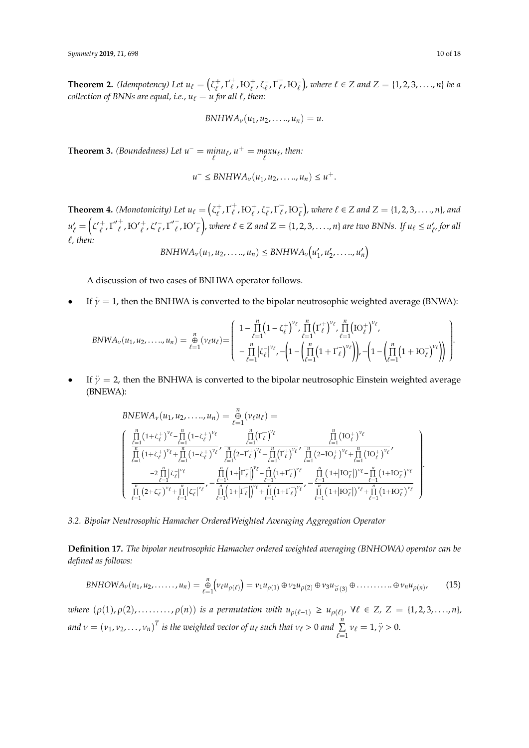**Theorem 2.** *(Idempotency)* Let  $u_\ell = \begin{pmatrix} \zeta^+_\ell \end{pmatrix}$  $\frac{1}{\ell}, \Gamma^+_{\ell}$  $_{\ell}^{+}$ ,  $\mathrm{IO}_{\ell}^{+}$ ,  $\zeta_{\ell}^{-}$  $\frac{1}{\ell}, \Gamma_{\ell}^{-}$  $(\frac{1}{\ell}, \text{IO}_{\ell}^{-})$ , where  $\ell \in \mathbb{Z}$  and  $\mathbb{Z} = \{1, 2, 3, ..., n\}$  be a *collection of BNNs are equal, i.e.,*  $u_\ell = u$  *for all*  $\ell$ *, then:* 

$$
BNHWA_{\nu}(u_1, u_2, \ldots, u_n)=u.
$$

**Theorem 3.** *(Boundedness)* Let  $u^- = \min_{\ell} u_{\ell}$ ,  $u^+ = \max_{\ell} u_{\ell}$ , then:

$$
u^{-} \leq BNHWA_{\nu}(u_1, u_2, \ldots, u_n) \leq u^{+}.
$$

**Theorem 4.** *(Monotonicity)* Let  $u_\ell = \begin{pmatrix} \zeta^+_\ell \end{pmatrix}$  $\frac{1}{\ell}, \Gamma^+_{\ell}$  $_{\ell}^{+}$ ,  $\mathrm{IO}_{\ell}^{+}$ ,  $\zeta_{\ell}^{-}$  $\frac{1}{\ell}, \Gamma_{\ell}^{-}$  $(\bar{\ell}, \text{IO}_{\ell}^{-})$ , where  $\ell \in \mathbb{Z}$  and  $\mathbb{Z} = \{1, 2, 3, ..., n\}$ , and  $u'_{\ell}$  $\zeta'_{\ell} = \left(\zeta'{}_{\ell}^{+}\right)$  $\frac{1}{\ell}, \Gamma'_{\ell}$  $_{\ell}^+$ ,  $\mathrm{IO'}_{\ell}^+$ ,  $\zeta_{\ell}^{\prime-}$  $\overline{\ell}$ ,  $\Gamma'$  $\bar{\ell}$ , Ю' $\bar{\ell}$ ), *where*  $\ell \in \mathbb{Z}$  *and*  $\mathbb{Z} = \{1, 2, 3, \ldots, n\}$  *are two BNNs.* If  $u_{\ell} \leq u_{\ell}^{\prime}$ ` *, for all* `*, then:*

$$
BNHWA_v(u_1, u_2, \ldots, u_n) \leq BNHWA_v(u'_1, u'_2, \ldots, u'_n)
$$

A discussion of two cases of BNHWA operator follows.

• If  $\ddot{\gamma} = 1$ , then the BNHWA is converted to the bipolar neutrosophic weighted average (BNWA):

$$
BNWA_{\nu}(u_1, u_2, \ldots, u_n) = \frac{n}{\theta} (\nu_{\ell} u_{\ell}) = \begin{pmatrix} 1 - \prod_{\ell=1}^n (1 - \zeta_{\ell}^+)^{\nu_{\ell}}, \prod_{\ell=1}^n ( \Gamma_{\ell}^+)^{\nu_{\ell}}, \prod_{\ell=1}^n ( \mathrm{IO}_{\ell}^+)^{\nu_{\ell}}, \\ - \prod_{\ell=1}^n |\zeta_{\ell}^-|^{\nu_{\ell}}, - \left( 1 - \left( \prod_{\ell=1}^n (1 + \Gamma_{\ell}^-)^{\nu_{\ell}} \right) \right), - \left( 1 - \left( \prod_{\ell=1}^n (1 + \mathrm{IO}_{\ell}^-)^{\nu_{\ell}} \right) \right) \end{pmatrix}
$$

• If  $\ddot{y} = 2$ , then the BNHWA is converted to the bipolar neutrosophic Einstein weighted average (BNEWA):

$$
BNEWA_{\nu}(u_1, u_2, \ldots, u_n) = \bigoplus_{\ell=1}^{n} (\nu_{\ell} u_{\ell}) =
$$
\n
$$
\begin{cases}\n\prod_{\ell=1}^{n} (1 + \zeta_{\ell}^{+})^{\nu_{\ell}} - \prod_{\ell=1}^{n} (1 - \zeta_{\ell}^{+})^{\nu_{\ell}} & \prod_{\ell=1}^{n} (\Gamma_{\ell}^{+})^{\nu_{\ell}} \\
\prod_{\ell=1}^{n} (1 + \zeta_{\ell}^{+})^{\nu_{\ell}} + \prod_{\ell=1}^{n} (1 - \zeta_{\ell}^{+})^{\nu_{\ell}} & \prod_{\ell=1}^{n} (2 - \Gamma_{\ell}^{+})^{\nu_{\ell}} \\
\prod_{\ell=1}^{n} (2 + \zeta_{\ell}^{-})^{\nu_{\ell}} & \prod_{\ell=1}^{n} (1 + \Gamma_{\ell}^{-})^{\nu_{\ell}} + \prod_{\ell=1}^{n} (1 + \Gamma_{\ell}^{-})^{\nu_{\ell}} \\
\frac{-2 \prod_{\ell=1}^{n} |\zeta_{\ell}|^{\nu_{\ell}}}{\prod_{\ell=1}^{n} (2 + \zeta_{\ell}^{-})^{\nu_{\ell}} + \prod_{\ell=1}^{n} |\zeta_{\ell}|^{\nu_{\ell}}} - \frac{\prod_{\ell=1}^{n} (1 + |\Gamma_{\ell}^{-})^{\nu_{\ell}}}{\prod_{\ell=1}^{n} (1 + |\Gamma_{\ell}^{-})^{\nu_{\ell}}} - \frac{\prod_{\ell=1}^{n} (1 + |\Gamma_{\ell}^{-})^{\nu_{\ell}}}{\prod_{\ell=1}^{n} (1 + |\Gamma_{\ell}^{-})^{\nu_{\ell}}} - \frac{\prod_{\ell=1}^{n} (1 + |\Gamma_{\ell}^{-})^{\nu_{\ell}}}{\prod_{\ell=1}^{n} (1 + |\Gamma_{\ell}^{-})^{\nu_{\ell}}} + \frac{\prod_{\ell=1}^{n} (1 + |\Gamma_{\ell}^{-})^{\nu_{\ell}}}{\prod_{\ell=1}^{n} (1 + |\Gamma_{\ell}^{-})^{\nu_{\ell}}} \\
\frac{-2 \prod_{\ell=1}^{n} (2 + \zeta_{\ell}^{-})^{\nu_{\ell}} + \prod_{\ell=1}^{n} |\zeta_{\ell}|^{\nu_{\ell}}}{{\prod_{\ell=1}^{n} (1 + |\Gamma_{\ell}^{-})
$$

## *3.2. Bipolar Neutrosophic Hamacher OrderedWeighted Averaging Aggregation Operator*

**Definition 17.** *The bipolar neutrosophic Hamacher ordered weighted averaging (BNHOWA) operator can be defined as follows:*

$$
BNHOWA_{\nu}(u_1, u_2, \dots, u_n) = \underset{\ell=1}{\overset{n}{\oplus}} \left( \nu_{\ell} u_{\rho(\ell)} \right) = \nu_1 u_{\rho(1)} \oplus \nu_2 u_{\rho(2)} \oplus \nu_3 u_{\sigma(3)} \oplus \dots \dots \dots \oplus \nu_n u_{\rho(n)}, \tag{15}
$$

 $\mathcal{W}$  *where*  $(\rho(1), \rho(2), \ldots, \rho(n))$  *is a permutation with*  $u_{\rho(\ell-1)} \geq u_{\rho(\ell)}, \forall \ell \in \mathbb{Z}, \mathbb{Z} = \{1, 2, 3, \ldots, n\},$ *and*  $v = (v_1, v_2, ..., v_n)^T$  *is the weighted vector of*  $u_\ell$  *such that*  $v_\ell > 0$  *and*  $\sum_{\ell=1}^n v_\ell = 1, \ddot{y} > 0$ .

.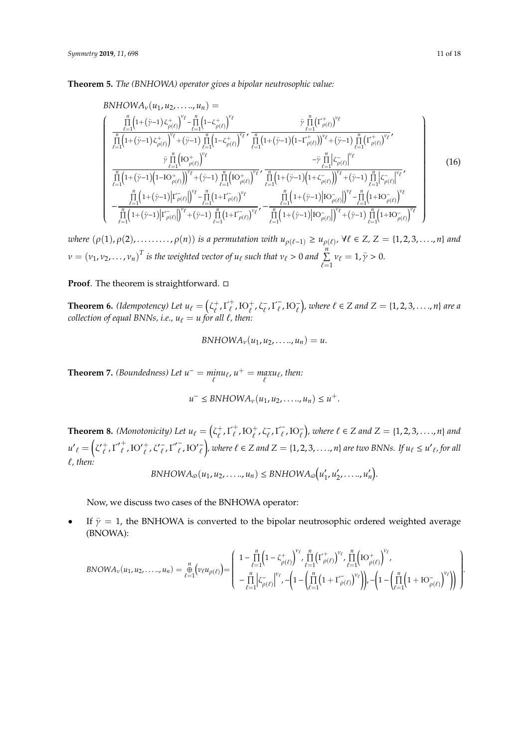**Theorem 5.** *The (BNHOWA) operator gives a bipolar neutrosophic value:*

$$
BNHOWA_{\nu}(u_{1}, u_{2}, \ldots, u_{n}) =\n\begin{cases}\n\frac{\prod_{\ell=1}^{n} (1+(\ddot{\gamma}-1) \zeta_{\rho(\ell)}^{+})^{\nu_{\ell}} - \prod_{\ell=1}^{n} (1-\zeta_{\rho(\ell)}^{+})^{\nu_{\ell}} \\
\frac{\prod_{\ell=1}^{n} (1+(\dot{\gamma}-1) \zeta_{\rho(\ell)}^{+})^{\nu_{\ell}} + (\ddot{\gamma}-1) \prod_{\ell=1}^{n} (1-\zeta_{\rho(\ell)}^{+})^{\nu_{\ell}} \\
\frac{\vdots}{\prod_{\ell=1}^{n} (1+(\dot{\gamma}-1) \zeta_{\rho(\ell)}^{+})^{\nu_{\ell}} \\
\frac{\vdots}{\prod_{\ell=1}^{n} (1+(\dot{\gamma}-1) (1-I\sigma_{\rho(\ell)}^{+})^{\nu_{\ell}} \\
\frac{\prod_{\ell=1}^{n} (1+(\dot{\gamma}-1) (1-I\sigma_{\rho(\ell)}^{+})^{\nu_{\ell}}}{(\rho(\ell)})^{\nu_{\ell}} + (\ddot{\gamma}-1) \prod_{\ell=1}^{n} (1-\zeta_{\rho(\ell)}^{+})^{\nu_{\ell}} \\
\frac{\prod_{\ell=1}^{n} (1+(\dot{\gamma}-1) (1-I\sigma_{\rho(\ell)}^{+})^{\nu_{\ell}} - \frac{\prod_{\ell=1}^{n} (1+(\dot{\gamma}-1) (1+\zeta_{\rho(\ell)}^{-})^{\nu_{\ell}}}{(\rho(\ell)})^{\nu_{\ell}} \\
-\frac{\prod_{\ell=1}^{n} (1+(\dot{\gamma}-1) (1-\dot{\gamma}-1) (1-\dot{\gamma}-1) \prod_{\ell=1}^{n} (1+\dot{\gamma}-1) (1-\dot{\gamma}-1) \prod_{\ell=1}^{n} (1+(\dot{\gamma}-1) (1-\dot{\gamma}-1) \prod_{\ell=1}^{n} (1+\dot{\gamma}-1) \prod_{\ell=1}^{n} (1+\dot{\gamma}-1) \prod_{\ell=1}^{n} (1+\dot{\gamma}-1) \prod_{\ell=1}^{n} (1+\dot{\gamma}-1) \prod_{\ell=1}^{n} (1+\dot{\gamma}-1) \prod_{\ell=1}^{n} (1+\dot{\gamma}-1) \prod_{\ell=1}^{n} (1+\dot{\gamma}-1) \prod_{\ell=1}^{n} (1+\dot{\gamma}-1) \prod_{\ell=1}^{n} (1+\dot{\gamma
$$

 $where (\rho(1), \rho(2), \ldots, \rho(n))$  *is a permutation with*  $u_{\rho(\ell-1)} \ge u_{\rho(\ell)}, \forall \ell \in \mathbb{Z}, \mathbb{Z} = \{1, 2, 3, \ldots, n\}$  and  $v = (v_1, v_2, \dots, v_n)^T$  is the weighted vector of  $u_\ell$  such that  $v_\ell > 0$  and  $\sum_{\ell=1}^n v_\ell = 1, \ddot{y} > 0$ .

#### **Proof.** The theorem is straightforward. □

**Theorem 6.** *(Idempotency)* Let  $u_\ell = \begin{pmatrix} \zeta^+_\ell \end{pmatrix}$  $\tau^+_\ell, \Gamma^+_\ell$  $_{\ell}^{+}$ ,  $\mathrm{IO}_{\ell}^{+}$ ,  $\zeta_{\ell}^{-}$  $\frac{1}{\ell}, \Gamma_{\ell}^{-}$  $(\bar{\ell}, \mathrm{IO}_{\ell}^{-})$ , where  $\ell \in \mathbb{Z}$  and  $\mathbb{Z} = \{1, 2, 3, ..., n\}$  are a *collection of equal BNNs, i.e.,*  $u_\ell = u$  *for all*  $\ell$ *, then:* 

$$
BNHOWA_{\nu}(u_1, u_2, \ldots, u_n) = u.
$$

**Theorem 7.** *(Boundedness)* Let  $u^- = \min_{\ell} u_{\ell}$ ,  $u^+ = \max_{\ell} u_{\ell}$ , then:

$$
u^{-} \leq BNHOWA_{\nu}(u_1, u_2, \ldots, u_n) \leq u^{+}.
$$

**Theorem 8.** *(Monotonicity)* Let  $u_\ell = \begin{pmatrix} \zeta^+_\ell \end{pmatrix}$  $\frac{1}{\ell}, \Gamma^+_{\ell}$  $\iota^+_\ell$ , Ю $^+_\ell$ ,  $\zeta^-_\ell$  $\frac{1}{\ell}, \Gamma_{\ell}^{-}$  $(\bar{\ell}, \text{IO}_{\ell})$ , where  $\ell \in \mathbb{Z}$  and  $\mathbb{Z} = \{1, 2, 3, ..., n\}$  and  $u'_{\ell} = \left(\zeta_{\ell}'^{+}\right)$  $\frac{1}{\ell}, \Gamma'_{\ell}$  $_{\ell}^+$ ,  $\mathrm{IO'}_{\ell}^+$ ,  $\zeta_{\ell}^ \frac{1}{\ell}, \Gamma'$  $\bar{\ell}$ , Ю' $\bar{\ell}$ *)*, where  $\ell \in \mathbb{Z}$  and  $\mathbb{Z} = \{1, 2, 3, \ldots, n\}$  are two BNNs. If  $u_{\ell} \leq u'_{\ell}$ , for all `*, then:*

$$
BNHOWA_{\omega}(u_1, u_2, \ldots, u_n) \leq BNHOWA_{\omega}\big(u_1', u_2', \ldots, u_n'\big).
$$

Now, we discuss two cases of the BNHOWA operator:

• If  $\ddot{\gamma} = 1$ , the BNHOWA is converted to the bipolar neutrosophic ordered weighted average (BNOWA):

$$
BNOWA_{\nu}(u_1, u_2, \ldots, u_n) = \bigoplus_{\ell=1}^n \left( \nu_{\ell} u_{\rho(\ell)} \right) = \left( \begin{array}{c} 1 - \prod_{\ell=1}^n \left( 1 - \zeta_{\rho(\ell)}^+ \right)^{\nu_{\ell}} \prod_{\ell=1}^n \left( \Gamma_{\rho(\ell)}^+ \right)^{\nu_{\ell}} \prod_{\ell=1}^n \left( \mathrm{SO}^+_{\rho(\ell)} \right)^{\nu_{\ell}} \end{array} \right) - \prod_{\ell=1}^n \left( \frac{1 - \prod_{\ell=1}^n \left( 1 - \zeta_{\rho(\ell)}^+ \right)^{\nu_{\ell}} \prod_{\ell=1}^n \left( \mathrm{SO}^+_{\rho(\ell)} \right)^{\nu_{\ell}} \right) - \left( 1 - \left( \prod_{\ell=1}^n \left( 1 + \mathrm{SO}^-_{\rho(\ell)} \right)^{\nu_{\ell}} \right) \right) \end{array} \right)
$$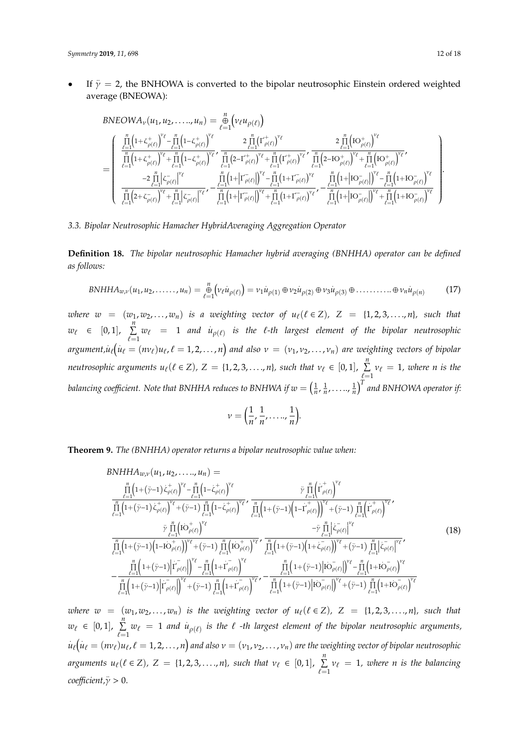• If  $\ddot{\gamma} = 2$ , the BNHOWA is converted to the bipolar neutrosophic Einstein ordered weighted average (BNEOWA):

$$
\begin{split} &BNEOWA_{\nu}(u_{1},u_{2},\ldots,u_{n})=\underset{\ell=1}{\overset{n}{\underset{\ell=1}{\text{min}}}\left(\nu_{\ell}u_{\rho(\ell)}\right)}\\ =&\left(\begin{array}{c} \prod\limits_{i=1}^{n}\left(1+\zeta_{\rho(\ell)}^{+}\right)^{\nu_{\ell}}-\prod\limits_{i=1}^{n}\left(1-\zeta_{\rho(\ell)}^{+}\right)^{\nu_{\ell}} & \frac{2\prod\limits_{\ell=1}^{n}\left(\Gamma_{\rho(\ell)}^{+}\right)^{\nu_{\ell}}}{\prod\limits_{\ell=1}^{n}\left(1+\zeta_{\rho(\ell)}^{+}\right)^{\nu_{\ell}}+\prod\limits_{\ell=1}^{n}\left(1-\zeta_{\rho(\ell)}^{+}\right)^{\nu_{\ell}}}, \frac{2\prod\limits_{\ell=1}^{n}\left(\Gamma_{\rho(\ell)}^{+}\right)^{\nu_{\ell}}}{\prod\limits_{\ell=1}^{n}\left(1+\zeta_{\rho(\ell)}^{+}\right)^{\nu_{\ell}}+\prod\limits_{\ell=1}^{n}\left(1-\zeta_{\rho(\ell)}^{+}\right)^{\nu_{\ell}}}, \frac{2\prod\limits_{\ell=1}^{n}\left(\Gamma_{\rho(\ell)}^{+}\right)^{\nu_{\ell}}}{\prod\limits_{\ell=1}^{n}\left(1+\zeta_{\rho(\ell)}^{+}\right)^{\nu_{\ell}}-\prod\limits_{\ell=1}^{n}\left(1+\zeta_{\rho(\ell)}^{+}\right)^{\nu_{\ell}}+\prod\limits_{\ell=1}^{n}\left(1+\zeta_{\rho(\ell)}^{+}\right)^{\nu_{\ell}}}, \frac{2\prod\limits_{\ell=1}^{n}\left(\Gamma_{\rho(\ell)}^{+}\right)^{\nu_{\ell}}}{\prod\limits_{\ell=1}^{n}\left(1+\zeta_{\rho(\ell)}^{+}\right)^{\nu_{\ell}}+\prod\limits_{\ell=1}^{n}\left(1+\zeta_{\rho(\ell)}^{+}\right)^{\nu_{\ell}}}, \frac{2\prod\limits_{\ell=1}^{n}\left(\Gamma_{\rho(\ell)}^{+}\right)^{\nu_{\ell}}}{\prod\limits_{\ell=1}^{n}\left(1+\zeta_{\rho(\ell)}^{+}\right)^{\nu_{\ell}}+\prod\limits_{\ell=1}^{n}\left(1+\zeta_{\rho(\ell)}^{+}\right)^{\nu_{\ell}}}, \frac{2\prod\limits_{\ell=1}
$$

*3.3. Bipolar Neutrosophic Hamacher HybridAveraging Aggregation Operator*

**Definition 18.** *The bipolar neutrosophic Hamacher hybrid averaging (BNHHA) operator can be defined as follows:*

$$
BNHHA_{w,v}(u_1, u_2, \dots, u_n) = \underset{\ell=1}{\overset{n}{\oplus}} \Big( v_{\ell} u_{\rho(\ell)} \Big) = v_1 u_{\rho(1)} \oplus v_2 u_{\rho(2)} \oplus v_3 u_{\rho(3)} \oplus \dots \dots \dots \oplus v_n u_{\rho(n)} \tag{17}
$$

*where*  $w = (w_1, w_2, \ldots, w_n)$  *is a weighting vector of*  $u_\ell(\ell \in \mathbb{Z})$ ,  $Z = \{1, 2, 3, \ldots, n\}$ , such that  $w_{\ell} \in [0, 1], \sum_{i=1}^{n}$  $\sum_{\ell=1}^n w_\ell = 1$  and  $\dot{u}_{\rho(\ell)}$  is the  $\ell$ -th largest element of the bipolar neutrosophic  $argument, \dot{u}_{\ell}(\dot{u}_{\ell}=(nv_{\ell})u_{\ell},\ell=1,2,\ldots,n)$  and also  $v\,=\,(v_1,v_2,\ldots,v_n)$  are weighting vectors of bipolar *neutrosophic arguments*  $u_\ell(\ell \in Z)$ ,  $Z = \{1, 2, 3, ..., n\}$ , such that  $v_\ell \in [0, 1]$ ,  $\sum_{i=1}^n$  $\sum_{\ell=1} v_{\ell} = 1$ , where n is the balancing coefficient. Note that BNHHA reduces to BNHWA if  $w=\left(\frac{1}{n},\frac{1}{n},\ldots..\frac{1}{n}\right)^T$  and BNHOWA operator if:

$$
\nu = \left(\frac{1}{n}, \frac{1}{n}, \dots, \frac{1}{n}\right).
$$

**Theorem 9.** *The (BNHHA) operator returns a bipolar neutrosophic value when:*

$$
BNHHA_{w,v}(u_1, u_2, \ldots, u_n) =\n\frac{\prod_{\ell=1}^{n} (1 + (\ddot{\gamma}-1) \dot{\zeta}_{\rho(\ell)})^{\nu_{\ell}} - \prod_{\ell=1}^{n} (1 - \dot{\zeta}_{\rho(\ell)})^{\nu_{\ell}}}{\prod_{\ell=1}^{n} (1 + (\ddot{\gamma}-1) \dot{\zeta}_{\rho(\ell)})^{\nu_{\ell}} + (\ddot{\gamma}-1) \prod_{\ell=1}^{n} (1 - \dot{\zeta}_{\rho(\ell)})^{\nu_{\ell}}},\n\frac{\tilde{\gamma}_{\ell} \prod_{\ell=1}^{n} (\dot{\Gamma}_{\rho(\ell)})^{\nu_{\ell}}}{\prod_{\ell=1}^{n} (1 + (\ddot{\gamma}-1) \dot{\zeta}_{\rho(\ell)})^{\nu_{\ell}}},\n\frac{\tilde{\gamma}_{\ell} \prod_{\ell=1}^{n} (1 - \dot{\zeta}_{\rho(\ell)})^{\nu_{\ell}}}{\prod_{\ell=1}^{n} (1 + (\ddot{\gamma}-1) \dot{\zeta}_{\rho(\ell)})^{\nu_{\ell}}},\n\frac{\tilde{\gamma}_{\ell} \prod_{\ell=1}^{n} (\dot{\Gamma}_{\rho(\ell)})^{\nu_{\ell}}}{\prod_{\ell=1}^{n} (1 + (\ddot{\gamma}-1) \dot{\zeta}_{\rho(\ell)})^{\nu_{\ell}} + (\ddot{\gamma}-1) \prod_{\ell=1}^{n} (\dot{\Gamma}_{\rho(\ell)})^{\nu_{\ell}}},\n\frac{\tilde{\gamma}_{\ell} \prod_{\ell=1}^{n} (\dot{\zeta}_{\rho(\ell)})^{\nu_{\ell}}}{\prod_{\ell=1}^{n} (1 + (\ddot{\gamma}-1) \dot{\zeta}_{\rho(\ell)})^{\nu_{\ell}}},\n\frac{\tilde{\gamma}_{\ell} \prod_{\ell=1}^{n} (1 + (\ddot{\gamma}-1) \dot{\zeta}_{\rho(\ell)})^{\nu_{\ell}}}{\prod_{\ell=1}^{n} (1 + (\ddot{\gamma}-1) \dot{\zeta}_{\rho(\ell)})^{\nu_{\ell}}} - \frac{\tilde{\gamma}_{\ell} \prod_{\ell=1}^{n} (1 + (\ddot{\gamma}-1) \dot{\zeta}_{\rho(\ell)})^{\nu_{\ell}}}{\prod_{\ell=1}^{n} (1 + (\ddot{\gamma}-1) \dot{\zeta}_{\rho(\ell)})^{\nu_{\ell}}} - \frac{\tilde{\gamma}_{\ell} \prod_{
$$

*where*  $w = (w_1, w_2, \ldots, w_n)$  *is the weighting vector of*  $u_\ell(\ell \in \mathbb{Z})$ ,  $Z = \{1, 2, 3, \ldots, n\}$ *, such that*  $w_{\ell} \in [0, 1], \sum_{i=1}^{n}$  $\sum_{\ell=1}^n w_\ell = 1$  and  $\dot{u}_{\rho(\ell)}$  is the  $\ell$  -th largest element of the bipolar neutrosophic arguments,  $\dot{u}_\ell\big(\dot{u}_\ell=(n v_\ell)u_\ell$  ,  $\ell=1,2,\ldots,n\big)$  and also  $v=(v_1,v_2,\ldots,v_n)$  are the weighting vector of bipolar neutrosophic *arguments*  $u_{\ell}(\ell \in Z)$ ,  $Z = \{1, 2, 3, ..., n\}$ , such that  $v_{\ell} \in [0, 1]$ ,  $\sum_{i=1}^{n}$  $\sum_{\ell=1} v_{\ell} = 1$ , where *n* is the balancing *coefficient*, $\ddot{\gamma}$  > 0.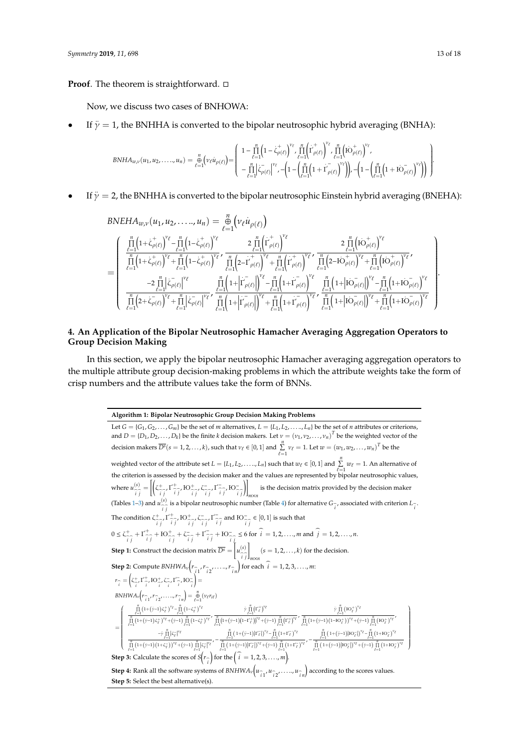**Proof**. The theorem is straightforward. □

Now, we discuss two cases of BNHOWA:

**Step 5:** Select the best alternative(s).

• If  $\ddot{\gamma} = 1$ , the BNHHA is converted to the bipolar neutrosophic hybrid averaging (BNHA):

$$
BNHA_{w,v}(u_1, u_2, \ldots, u_n) = \frac{1}{\ell-1} \Big( v_{\ell} \dot{u}_{\rho(\ell)} \Big) = \begin{pmatrix} 1 - \prod_{\ell=1}^n \Big( 1 - \dot{\zeta}_{\rho(\ell)}^+ \Big)^{v_{\ell}} \cdot \prod_{\ell=1}^n \Big( \dot{\Gamma}_{\rho(\ell)}^+ \Big)^{v_{\ell}} \cdot \prod_{\ell=1}^n \Big( \dot{\mathrm{do}}_{\rho(\ell)}^+ \Big)^{v_{\ell}} \cdot \left( 1 - \Big( \prod_{\ell=1}^n \Big( 1 + \dot{\Gamma}_{\rho(\ell)}^- \Big)^{v_{\ell}} \Big)^{v_{\ell}} \right) \Big) - \Big( 1 - \Big( \prod_{\ell=1}^n \Big( 1 + \dot{\mathrm{do}}_{\rho(\ell)}^- \Big)^{v_{\ell}} \Big) \Big) \end{pmatrix}
$$

• If  $\ddot{\gamma} = 2$ , the BNHHA is converted to the bipolar neutrosophic Einstein hybrid averaging (BNEHA):

$$
\begin{array}{lllll} & BNEHA_{w,\nu}(u_1, u_2, \ldots, u_n) = \frac{n}{\ell-1} \Big( \nu_{\ell} \dot{u}_{\rho(\ell)} \Big) \\ & \frac{\prod\limits_{\ell=1}^n \big(1 + \dot{\zeta}_{\rho(\ell)}^+ \big)^{\nu_{\ell}} - \prod\limits_{\ell=1}^n \big(1 - \dot{\zeta}_{\rho(\ell)}^+ \big)^{\nu_{\ell}}}{\prod\limits_{\ell=1}^n \big(1 + \dot{\zeta}_{\rho(\ell)}^+ \big)^{\nu_{\ell}} + \prod\limits_{\ell=1}^n \big(1 - \dot{\zeta}_{\rho(\ell)}^+ \big)^{\nu_{\ell}}} & \frac{2 \prod\limits_{\ell=1}^n \big( \dot{\Gamma}_{\rho(\ell)}^+ \big)^{\nu_{\ell}}}{\prod\limits_{\ell=1}^n \big(1 + \dot{\zeta}_{\rho(\ell)}^+ \big)^{\nu_{\ell}} + \prod\limits_{\ell=1}^n \big(1 - \dot{\zeta}_{\rho(\ell)}^+ \big)^{\nu_{\ell}}} & \frac{2 \prod\limits_{\ell=1}^n \big( \dot{\Gamma}_{\rho(\ell)}^+ \big)^{\nu_{\ell}}}{\prod\limits_{\ell=1}^n \big(1 + \dot{\zeta}_{\rho(\ell)}^+ \big)^{\nu_{\ell}}} \\ & - 2 \prod\limits_{\ell=1}^n \big| \dot{\zeta}_{\rho(\ell)}^- \big|^{\nu_{\ell}} & \frac{n}{\ell-1} \big(1 + \big| \dot{\Gamma}_{\rho(\ell)}^- \big)^{\nu_{\ell}} - \prod\limits_{\ell=1}^n \big(1 + \dot{\Gamma}_{\rho(\ell)}^- \big)^{\nu_{\ell}}}{\prod\limits_{\ell=1}^n \big(1 + \big| \dot{\Gamma}_{\rho(\ell)}^- \big)^{\nu_{\ell}}} & \frac{n}{\ell-1} \big(1 + \big| \dot{\Gamma}_{\rho(\ell)}^- \big)^{\nu_{\ell}} & \frac{n}{\ell-1} \big(1 + \big| \dot{\Gamma}_{\rho(\ell)}^- \big)^{\nu_{\ell}} - \prod\limits_{\ell=1}^n \big(1 + \big| \dot{\Gamma}_{\rho(\ell)}^- \big)^{\nu_{\ell}}}{\prod\limits_{\ell=1}^n \big(1 + \big| \dot{\Gamma}_{\rho(\ell)}^- \big)^{\nu_{\ell}}} & \frac{n}{\ell-1} \big(1
$$

# <span id="page-12-0"></span>**4. An Application of the Bipolar Neutrosophic Hamacher Averaging Aggregation Operators to Group Decision Making**

In this section, we apply the bipolar neutrosophic Hamacher averaging aggregation operators to the multiple attribute group decision-making problems in which the attribute weights take the form of crisp numbers and the attribute values take the form of BNNs.

> **Algorithm 1: Bipolar Neutrosophic Group Decision Making Problems** Let  $G = \{G_1, G_2, \ldots, G_m\}$  be the set of *m* alternatives,  $L = \{L_1, L_2, \ldots, L_n\}$  be the set of *n* attributes or criterions, and  $D = \{D_1, D_2, \ldots, D_k\}$  be the finite *k* decision makers. Let  $v = (v_1, v_2, \ldots, v_n)^T$  be the weighted vector of the decision makers  $\overline{D^s}(s = 1, 2, ..., k)$ , such that  $v_\ell \in [0, 1]$  and  $\sum_{\ell=1}^n v_\ell = 1$ . Let  $w = (w_1, w_2, ..., w_n)^T$  be the weighted vector of the attribute set  $L = \{L_1, L_2, \ldots, L_n\}$  such that  $w_\ell \in [0, 1]$  and  $\sum_{i=1}^n w_\ell = 1$ . An alternative of the criterion is assessed by the decision maker and the values are represented by bipolar neutrosophic values, where  $u_{\widehat{i}\widehat{j}}^{(s)} = \left[ \left( \zeta_{\widehat{i}\widehat{j}}^+ \Gamma_{\widehat{i}\widehat{j}}^+ \Gamma_{\widehat{i}\widehat{j}}^+ \Gamma_{\widehat{i}\widehat{j}}^- \zeta_{\widehat{i}\widehat{j}}^- \right) \Gamma_{\widehat{i}\widehat{j}}^- \right] \Gamma_{\widehat{i}\widehat{j}}^-$ ۱1 is the decision matrix provided by the decision maker  $\frac{m \times n}{m}$ (Tables [1–](#page-13-0)[3\)](#page-13-1) and  $u_{\hat{i}}^{(s)}$  is a bipolar neutrosophic number (Table [4\)](#page-14-1) for alternative  $G_{\hat{i}}$ , associated with criterion  $L_{\hat{i}}$ . The condition  $\zeta^+_{\hat{i}\hat{j}}$   $\zeta^+_{\hat{i}\hat{j}}$  ,  $\mathrm{HO}^+_{\hat{i}\hat{j}}$  ,  $\zeta^-_{\hat{i}\hat{j}}$  ,  $\zeta^-_{\hat{i}\hat{j}}$  and  $\mathrm{HO}^-_{\hat{i}\hat{j}} \in [0,1]$  is such that  $0 \le \zeta^+_{\hat{i}\hat{j}} + \Gamma^+_{\hat{i}\hat{j}} + \text{IO}^+_{\hat{i}\hat{j}} + \zeta^-_{\hat{i}\hat{j}} + \Gamma^-_{\hat{i}\hat{j}} + \text{IO}^-_{\hat{i}\hat{j}} \le 6 \text{ for } \hat{i} = 1, 2, ..., m \text{ and } \hat{j} = 1, 2, ..., n.$ **Step 1:** Construct the decision matrix  $\overline{D^s} = \left[ u^{(s)} \right]$ 1  $(s = 1, 2, \dots, k)$  for the decision. **Step 2:** Compute *BNHWA*<sub>v</sub> $\left(r_{\hat{i}1}, r_{\hat{i}2}, \ldots, r_{\hat{i}n}\right)$  for each  $\hat{i} = 1, 2, 3, \ldots, m$ :  $r_{\widehat{i}} = (\zeta_{\widehat{i}}^+, \Gamma_{\widehat{i}}^+, \text{IO}_{\widehat{i}}^+, \zeta_{\widehat{i}}^-, \zeta_{\widehat{i}}^-, \Gamma_{\widehat{i}}^-, \text{IO}_{\widehat{i}}^-,$ ! =  $BNHWA_{\nu}(r_{\hat{i}1}, r_{\hat{i}2}, \ldots, r_{\hat{i}n}) = \frac{n}{\theta}$  $\hat{i}_1, \hat{i}_2, \dots, \hat{i}_n = \bigoplus_{\ell=1}^n (v_\ell r_{i\ell})$ =  $\int\limits_{\ell = 1}^n {\left( {1 \!+\! \left( {\ddot \gamma } \!-\! 1 \right)\zeta _\ell ^ + } \right)^{\! \nu \ell }} \!-\!\prod\limits_{\ell = 1}^n {\left( {1 \!-\! \zeta _\ell ^ + } \right)^{\! \nu \ell }}$  $\overline{\phantom{a}}$  $\prod_{\ell=1}^{\ell=1} \frac{\ell=1}{(1+(\ddot{\gamma}-1)\zeta_{\ell}^+)}^{\nu_{\ell}} + (\ddot{\gamma}-1)\prod_{\ell=1}^n (1-\zeta_{\ell}^+)^{\nu_{\ell}}'$  $\ddot{y} \prod_{\ell=1}^n (\Gamma_\ell^+)^{\nu_\ell}$  $\prod_{\ell=1}^n (1 + (\ddot{y}-1)(1-\Gamma_{\ell}^+))^{\nu_{\ell}} + (\ddot{y}-1) \prod_{\ell=1}^n ( \Gamma_{\ell}^+)^{\nu_{\ell}}$  $\ddot{\gamma} \prod\limits_{\ell=1}^n \left( \mathrm{IO}_\ell^+ \right)^{\nu_\ell}$  $\frac{\prod\limits_{\ell=1}^n\left(1{+}\left(\ddot{\gamma}{-}1\right)\left(1{-}\mathrm{IO}^+_{\ell}\right)\right)^{\nu_{\ell}}{+}\left(\ddot{\gamma}{-}1\right)\prod\limits_{\ell=1}^n\left(\mathrm{IO}^+_{\ell}\right)^{\nu_{\ell}}},$  $- \ddot{\gamma} \prod\limits_{\ell=1}^n \left|\zeta_\ell^-\right|^{\nu_\ell}$  $\frac{1}{\prod\limits_{\ell=1}^n\left(1+\left(\ddot{\gamma}-1\right)\left(1+\zeta_{\ell}^{-}\right)\right)^{\nu_{\ell}}+\left(\ddot{\gamma}-1\right)\prod\limits_{\ell=1}^n\left|\zeta_{\ell}^{-}\right|^{\nu_{\ell}}}\right)^{-1}}$  $\prod_{\ell=1}^n\Big(\left.1+\left(\ddot{\gamma}-1\right)\left|\Gamma_{\ell}^{-}\right|\Big)^{\nu_{\ell}}-\prod_{\ell=1}^n\left(1+\Gamma_{\ell}^{-}\right)^{\nu_{\ell}}$  $\frac{\ell-1}{\prod\limits_{\ell=1}^n\left(1{+}\left(\dot{\gamma}-1\right)\left|\Gamma_{\ell}^{-}\right|\right)^{\nu_{\ell}}}+ \left(\dot{\gamma}-1\right)\prod\limits_{\ell=1}^n\left(1{+}\Gamma_{\ell}^{-}\right)^{\nu_{\ell}}}, \prod\limits_{\ell=1}^n\Big(\left.1+\left(\ddot{\gamma}-1\right)\right.\left|\mathbf{IO}^{\,-}_\ell\right|\Big)^{\nu_\ell}-\prod\limits_{\ell=1}^n\left(1+\mathbf{IO}^{\,-}_\ell\right)^{\nu_\ell}$  $\prod_{\ell=1}^n \left(1+\left(\ddot{\gamma}-1\right)\middle| \textrm{IO}^-_\ell \right| \right)^{\nu_\ell}+\left(\ddot{\gamma}-1\right) \prod_{\ell=1}^n \left(1+\textrm{IO}^-_\ell\right)^{\nu_\ell}$  $\lambda$  $\overline{\phantom{a}}$ **Step 3:** Calculate the scores of  $S\left(r_{\widehat{i}}\right)$  $\int$  for the  $\left(\hat{i} = 1, 2, 3, ..., m\right)$ . **Step 4:** Rank all the software systems of  $BNHWA_v(u_{\hat{i}1}, u_{\hat{i}2}, ..., u_{\hat{i}n})$  according to the scores values.  $\sqrt{ }$

.

.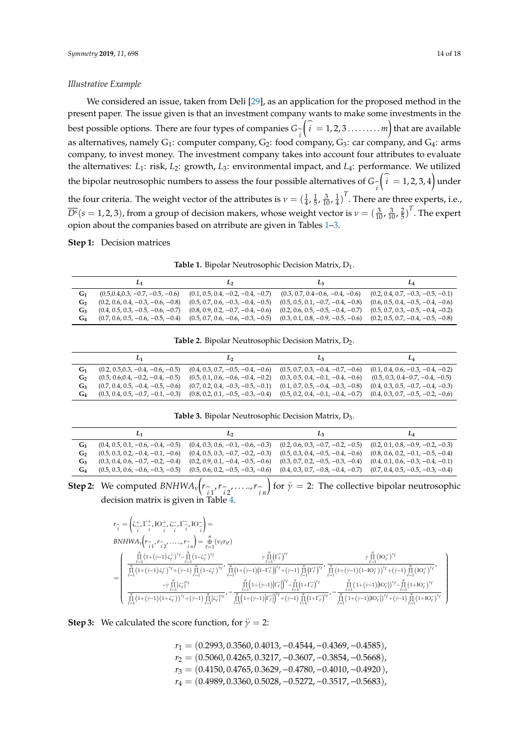#### *Illustrative Example*

We considered an issue, taken from Deli [\[29\]](#page-16-6), as an application for the proposed method in the present paper. The issue given is that an investment company wants to make some investments in the best possible options. There are four types of companies *G*\_ *i*  $\left(\widehat{i} = 1, 2, 3 \ldots \ldots \ldots m\right)$  that are available as alternatives, namely  $G_1$ : computer company,  $G_2$ : food company,  $G_3$ : car company, and  $G_4$ : arms company, to invest money. The investment company takes into account four attributes to evaluate the alternatives: *L*1: risk, *L*2: growth, *L*3: environmental impact, and *L*4: performance. We utilized the bipolar neutrosophic numbers to assess the four possible alternatives of  $G_{\widehat{i}}$  $\left(\begin{matrix} \cdot & 0 \\ 0 & 1 \end{matrix}\right)$  = 1, 2, 3, 4 under the four criteria. The weight vector of the attributes is  $v = (\frac{1}{4}, \frac{1}{5}, \frac{3}{10}, \frac{1}{4})^T$ . There are three experts, i.e.,  $\overline{D^{\rm s}}$ ( $s = 1, 2, 3$ ), from a group of decision makers, whose weight vector is  $v = (\frac{3}{10}, \frac{3}{10}, \frac{2}{5})^T$ . The expert opion about the companies based on atrribute are given in Tables [1–](#page-13-0)[3.](#page-13-1)

#### <span id="page-13-0"></span>**Step 1:** Decision matrices

**Table 1.** Bipolar Neutrosophic Decision Matrix,  $D_1$ .

|                | L1                                  | Lэ                                  | L <sub>3</sub>                                                          | La                                  |
|----------------|-------------------------------------|-------------------------------------|-------------------------------------------------------------------------|-------------------------------------|
| $G_1$          | $(0.5, 0.4, 0.3, -0.7, -0.5, -0.6)$ | $(0.1, 0.5, 0.4, -0.2, -0.4, -0.7)$ | $(0.3, 0.7, 0.4 - 0.6, -0.4, -0.6)$                                     | $(0.2, 0.4, 0.7, -0.3, -0.5, -0.1)$ |
| G <sub>2</sub> | $(0.2, 0.6, 0.4, -0.3, -0.6, -0.8)$ | $(0.5, 0.7, 0.6, -0.3, -0.4, -0.5)$ | $(0.5, 0.5, 0.1, -0.7, -0.4, -0.8)$                                     | $(0.6, 0.5, 0.4, -0.5, -0.4, -0.6)$ |
| $G_3$          | $(0.4, 0.5, 0.3, -0.5, -0.6, -0.7)$ | $(0.8, 0.9, 0.2, -0.7, -0.4, -0.6)$ | $(0.2, 0.6, 0.5, -0.5, -0.4, -0.7)$                                     | $(0.5, 0.7, 0.3, -0.5, -0.4, -0.2)$ |
| G4             | $(0.7, 0.6, 0.5, -0.6, -0.5, -0.4)$ | $(0.5, 0.7, 0.6, -0.6, -0.3, -0.5)$ | $(0.3, 0.1, 0.8, -0.9, -0.5, -0.6)$ $(0.2, 0.5, 0.7, -0.4, -0.5, -0.8)$ |                                     |

**Table 2.** Bipolar Neutrosophic Decision Matrix, D<sub>2</sub>.

| L1                                  | Lэ                                  | Lз                                                                      | L <sub>4</sub>                      |
|-------------------------------------|-------------------------------------|-------------------------------------------------------------------------|-------------------------------------|
| $(0.2, 0.5, 0.3, -0.4, -0.6, -0.5)$ | $(0.4, 0.3, 0.7, -0.5, -0.4, -0.6)$ | $(0.5, 0.7, 0.3, -0.4, -0.7, -0.6)$ $(0.1, 0.4, 0.6, -0.3, -0.4, -0.2)$ |                                     |
| $(0.5, 0.6, 0.4, -0.2, -0.4, -0.5)$ | $(0.5, 0.1, 0.6, -0.6, -0.4, -0.2)$ | $(0.3, 0.5, 0.4, -0.1, -0.4, -0.6)$                                     | $(0.5, 0.3, 0.4 - 0.7, -0.4, -0.5)$ |
| $(0.7, 0.4, 0.5, -0.4, -0.5, -0.6)$ | $(0.7, 0.2, 0.4, -0.3, -0.5, -0.1)$ | $(0.1, 0.7, 0.5, -0.4, -0.3, -0.8)$                                     | $(0.4, 0.3, 0.5, -0.7, -0.4, -0.3)$ |
| $(0.3, 0.4, 0.5, -0.7, -0.1, -0.3)$ | $(0.8, 0.2, 0.1, -0.5, -0.3, -0.4)$ | $(0.5, 0.2, 0.4, -0.1, -0.4, -0.7)$ $(0.4, 0.3, 0.7, -0.5, -0.2, -0.6)$ |                                     |

**Table 3.** Bipolar Neutrosophic Decision Matrix, D<sub>3</sub>.

<span id="page-13-1"></span>

|       |                                     |                                     | Lз                                                                      |                                     |
|-------|-------------------------------------|-------------------------------------|-------------------------------------------------------------------------|-------------------------------------|
| G1.   | $(0.4, 0.5, 0.1, -0.6, -0.4, -0.5)$ | $(0.4, 0.3, 0.6, -0.1, -0.6, -0.3)$ | $(0.2, 0.6, 0.3, -0.7, -0.2, -0.5)$ $(0.2, 0.1, 0.8, -0.9, -0.2, -0.3)$ |                                     |
| $G_2$ | $(0.5, 0.3, 0.2, -0.4, -0.1, -0.6)$ | $(0.4, 0.5, 0.3, -0.7, -0.2, -0.3)$ | $(0.5, 0.3, 0.4, -0.5, -0.4, -0.6)$                                     | $(0.8, 0.6, 0.2, -0.1, -0.5, -0.4)$ |
| G3.   | $(0.3, 0.4, 0.6, -0.7, -0.2, -0.4)$ | $(0.2, 0.9, 0.1, -0.4, -0.5, -0.6)$ | $(0.3, 0.7, 0.2, -0.5, -0.3, -0.4)$ $(0.4, 0.1, 0.6, -0.3, -0.4, -0.1)$ |                                     |
| G4    | $(0.5, 0.3, 0.6, -0.6, -0.3, -0.5)$ | $(0.5, 0.6, 0.2, -0.5, -0.3, -0.6)$ | $(0.4, 0.3, 0.7, -0.8, -0.4, -0.7)$ $(0.7, 0.4, 0.5, -0.5, -0.3, -0.4)$ |                                     |

**Step 2:** We computed  $BNHWA_v(r_{\hat{i}_1}, r_{\hat{i}_2}, \ldots, r_{\hat{i}_n})$  for  $\ddot{\gamma} = 2$ : The collective bipolar neutrosophic decision matrix is given in Table [4.](#page-14-1)

$$
\begin{split} &r_{\widehat{i}}=\left(\zeta^+_{\widehat{i}} , \Gamma^+_{\widehat{i}} , \mathbf{D}^+_{\widehat{i}} , \zeta^-_{\widehat{i}} , \Gamma^-_{\widehat{i}} , \mathbf{D}^-_{\widehat{i}}\right)=\\ &\text{BNHWA}_{\nu}\Big(r_{\widehat{i} \, 1} , r_{\widehat{i} \, 2} , \ldots , r_{\widehat{i} \, n} \Big) = \underset{\ell=1}{\overset{n}{\oplus}}\left(\nu_{\ell} r_{i \ell}\right)\\ &=\left(\begin{array}{cc} \prod\limits_{\ell=1}^n (1+(\bar{\gamma}-1)\zeta^+_{\ell})^{\nu_{\ell}} - \prod\limits_{\ell=1}^n (1-\zeta^+_{\ell})^{\nu_{\ell}} & \frac{\eta}{\ell-1} \big(1+(\bar{\gamma}-1)(1-\bar{\gamma}^+_{\ell})^{\nu_{\ell}} \\ \prod\limits_{\ell=1}^n (1+(\bar{\gamma}-1)\zeta^+_{\ell})^{\nu_{\ell}} + (\bar{\gamma}-1)\prod\limits_{\ell=1}^n (1-\zeta^+_{\ell})^{\nu_{\ell}} \end{array} \begin{array}{cc} \bar{\gamma} \prod\limits_{\ell=1}^n (r_{\ell}^+)^{\nu_{\ell}} & \frac{\eta}{\ell-1} \big(1+(\bar{\gamma}-1)(1-\bar{\gamma}^+_{\ell})^{\nu_{\ell}} \\ \vdots \\ \prod\limits_{\ell=1}^n (1+(\bar{\gamma}-1)\zeta^+_{\ell})^{\nu_{\ell}} + (\bar{\gamma}-1)\prod\limits_{\ell=1}^n (1+(\bar{\gamma}-1)\zeta^+_{\ell})^{\nu_{\ell}} + (\bar{\gamma}-1)\prod\limits_{\ell=1}^n (1+(\bar{\gamma}-1)\zeta^+_{\ell})^{\nu_{\ell}} \end{array} \begin{array}{cc} \bar{\gamma} \prod\limits_{\ell=1}^n (r_{\ell}^+)^{\nu_{\ell}} & \frac{\eta}{\ell-1} \big(1+(r_{\ell}^+)-1\big) \prod\limits_{\ell=1}^n (1+(\bar{\gamma}-1)(1-\bar{\gamma}^+_{\ell})^{\nu_{\ell}} \\ \vdots \\ \prod\limits_{\ell=1}^n (1+(\bar{\gamma}-1)(1+\bar{\gamma}^-_{\ell})^{\nu_{\ell}} + (\bar{\gamma}-1)\prod\limits_{\ell=1}^
$$

**Step 3:** We calculated the score function, for  $\ddot{\gamma} = 2$ :

*r*<sub>1</sub> = (0.2993, 0.3560, 0.4013, -0.4544, -0.4369, -0.4585), *r*<sub>2</sub> = (0.5060, 0.4265, 0.3217, -0.3607, -0.3854, -0.5668), *r*<sub>3</sub> = (0.4150, 0.4765, 0.3629, -0.4780, -0.4010, -0.4920), *r*<sub>4</sub> = (0.4989, 0.3360, 0.5028, -0.5272, -0.3517, -0.5683),  $\lambda$ 

 $\begin{array}{c} \hline \rule{0pt}{2.5ex} \rule{0pt}{2.5ex} \rule{0pt}{2.5ex} \rule{0pt}{2.5ex} \rule{0pt}{2.5ex} \rule{0pt}{2.5ex} \rule{0pt}{2.5ex} \rule{0pt}{2.5ex} \rule{0pt}{2.5ex} \rule{0pt}{2.5ex} \rule{0pt}{2.5ex} \rule{0pt}{2.5ex} \rule{0pt}{2.5ex} \rule{0pt}{2.5ex} \rule{0pt}{2.5ex} \rule{0pt}{2.5ex} \rule{0pt}{2.5ex} \rule{0pt}{2.5ex} \rule{0pt}{2.5ex} \$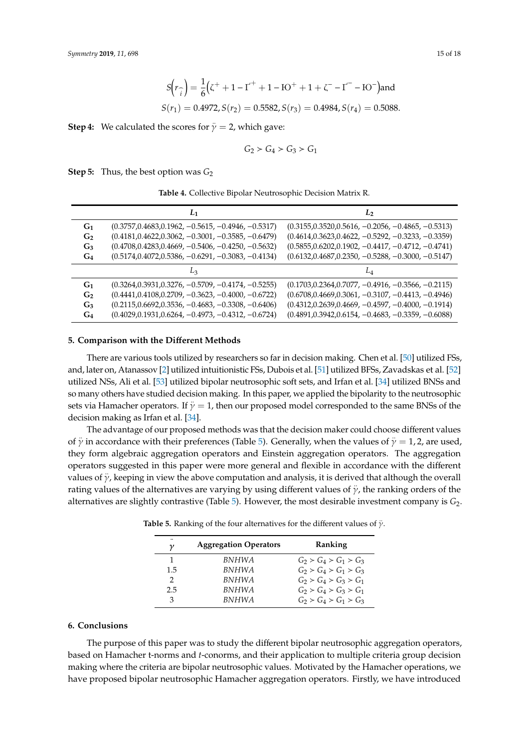$$
S(r_{\widehat{i}}) = \frac{1}{6}(\zeta^+ + 1 - \Gamma^+ + 1 - 10^+ + 1 + \zeta^- - \Gamma^- - 10^-)
$$
and  

$$
S(r_1) = 0.4972, S(r_2) = 0.5582, S(r_3) = 0.4984, S(r_4) = 0.5088.
$$

**Step 4:** We calculated the scores for  $\ddot{\gamma} = 2$ , which gave:

$$
G_2 \succ G_4 \succ G_3 \succ G_1
$$

<span id="page-14-1"></span>**Step 5:** Thus, the best option was  $G_2$ 

**Table 4.** Collective Bipolar Neutrosophic Decision Matrix R.

|                | L1                                                    | L                                                     |
|----------------|-------------------------------------------------------|-------------------------------------------------------|
| G <sub>1</sub> | $(0.3757, 0.4683, 0.1962, -0.5615, -0.4946, -0.5317)$ | $(0.3155, 0.3520, 0.5616, -0.2056, -0.4865, -0.5313)$ |
| G <sub>2</sub> | $(0.4181, 0.4622, 0.3062, -0.3001, -0.3585, -0.6479)$ | $(0.4614, 0.3623, 0.4622, -0.5292, -0.3233, -0.3359)$ |
| $G_3$          | $(0.4708, 0.4283, 0.4669, -0.5406, -0.4250, -0.5632)$ | $(0.5855, 0.6202, 0.1902, -0.4417, -0.4712, -0.4741)$ |
| $G_4$          | $(0.5174, 0.4072, 0.5386, -0.6291, -0.3083, -0.4134)$ | $(0.6132, 0.4687, 0.2350, -0.5288, -0.3000, -0.5147)$ |
|                | Lз                                                    |                                                       |
| G <sub>1</sub> | $(0.3264, 0.3931, 0.3276, -0.5709, -0.4174, -0.5255)$ | $(0.1703, 0.2364, 0.7077, -0.4916, -0.3566, -0.2115)$ |
| G <sub>2</sub> | $(0.4441, 0.4108, 0.2709, -0.3623, -0.4000, -0.6722)$ | $(0.6708, 0.4669, 0.3061, -0.3107, -0.4413, -0.4946)$ |
| $G_3$          | $(0.2115, 0.6692, 0.3536, -0.4683, -0.3308, -0.6406)$ | $(0.4312, 0.2639, 0.4669, -0.4597, -0.4000, -0.1914)$ |
| $G_4$          | $(0.4029, 0.1931, 0.6264, -0.4973, -0.4312, -0.6724)$ | $(0.4891, 0.3942, 0.6154, -0.4683, -0.3359, -0.6088)$ |

#### <span id="page-14-0"></span>**5. Comparison with the Di**ff**erent Methods**

There are various tools utilized by researchers so far in decision making. Chen et al. [\[50\]](#page-17-8) utilized FSs, and, later on, Atanassov [\[2\]](#page-15-1) utilized intuitionistic FSs, Dubois et al. [\[51\]](#page-17-9) utilized BFSs, Zavadskas et al. [\[52\]](#page-17-10) utilized NSs, Ali et al. [\[53\]](#page-17-11) utilized bipolar neutrosophic soft sets, and Irfan et al. [\[34\]](#page-16-11) utilized BNSs and so many others have studied decision making. In this paper, we applied the bipolarity to the neutrosophic sets via Hamacher operators. If  $\ddot{y} = 1$ , then our proposed model corresponded to the same BNSs of the decision making as Irfan et al. [\[34\]](#page-16-11).

The advantage of our proposed methods was that the decision maker could choose different values of  $\ddot{\gamma}$  in accordance with their preferences (Table [5\)](#page-14-2). Generally, when the values of  $\ddot{\gamma} = 1, 2$ , are used, they form algebraic aggregation operators and Einstein aggregation operators. The aggregation operators suggested in this paper were more general and flexible in accordance with the different values of  $\ddot{y}$ , keeping in view the above computation and analysis, it is derived that although the overall rating values of the alternatives are varying by using different values of  $\ddot{\gamma}$ , the ranking orders of the alternatives are slightly contrastive (Table [5\)](#page-14-2). However, the most desirable investment company is *G*2.

| $\bullet\bullet$<br>ν | <b>Aggregation Operators</b> | Ranking                 |
|-----------------------|------------------------------|-------------------------|
|                       | <b>BNHWA</b>                 | $G_2 > G_4 > G_1 > G_3$ |
| 1.5                   | <b>BNHWA</b>                 | $G_2 > G_4 > G_1 > G_3$ |
| 2                     | <b>BNHWA</b>                 | $G_2 > G_4 > G_3 > G_1$ |
| 2.5                   | <b>BNHWA</b>                 | $G_2 > G_4 > G_3 > G_1$ |
| 3                     | <b>BNHWA</b>                 | $G_2 > G_4 > G_1 > G_3$ |

<span id="page-14-2"></span>**Table 5.** Ranking of the four alternatives for the different values of  $\ddot{\gamma}$ .

## **6. Conclusions**

The purpose of this paper was to study the different bipolar neutrosophic aggregation operators, based on Hamacher t-norms and *t*-conorms, and their application to multiple criteria group decision making where the criteria are bipolar neutrosophic values. Motivated by the Hamacher operations, we have proposed bipolar neutrosophic Hamacher aggregation operators. Firstly, we have introduced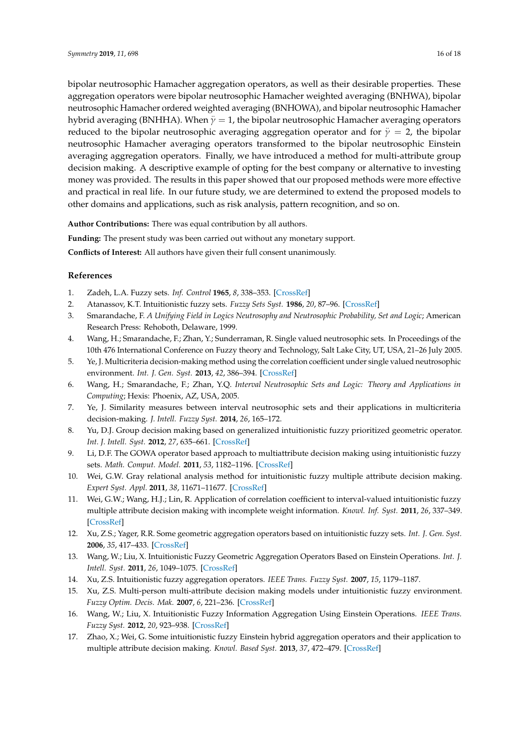bipolar neutrosophic Hamacher aggregation operators, as well as their desirable properties. These aggregation operators were bipolar neutrosophic Hamacher weighted averaging (BNHWA), bipolar neutrosophic Hamacher ordered weighted averaging (BNHOWA), and bipolar neutrosophic Hamacher hybrid averaging (BNHHA). When  $y = 1$ , the bipolar neutrosophic Hamacher averaging operators reduced to the bipolar neutrosophic averaging aggregation operator and for  $\ddot{y} = 2$ , the bipolar neutrosophic Hamacher averaging operators transformed to the bipolar neutrosophic Einstein averaging aggregation operators. Finally, we have introduced a method for multi-attribute group decision making. A descriptive example of opting for the best company or alternative to investing money was provided. The results in this paper showed that our proposed methods were more effective and practical in real life. In our future study, we are determined to extend the proposed models to

**Author Contributions:** There was equal contribution by all authors.

**Funding:** The present study was been carried out without any monetary support.

other domains and applications, such as risk analysis, pattern recognition, and so on.

**Conflicts of Interest:** All authors have given their full consent unanimously.

# **References**

- <span id="page-15-0"></span>1. Zadeh, L.A. Fuzzy sets. *Inf. Control* **1965**, *8*, 338–353. [\[CrossRef\]](http://dx.doi.org/10.1016/S0019-9958(65)90241-X)
- <span id="page-15-1"></span>2. Atanassov, K.T. Intuitionistic fuzzy sets. *Fuzzy Sets Syst.* **1986**, *20*, 87–96. [\[CrossRef\]](http://dx.doi.org/10.1016/S0165-0114(86)80034-3)
- <span id="page-15-2"></span>3. Smarandache, F. *A Unifying Field in Logics Neutrosophy and Neutrosophic Probability, Set and Logic*; American Research Press: Rehoboth, Delaware, 1999.
- <span id="page-15-3"></span>4. Wang, H.; Smarandache, F.; Zhan, Y.; Sunderraman, R. Single valued neutrosophic sets. In Proceedings of the 10th 476 International Conference on Fuzzy theory and Technology, Salt Lake City, UT, USA, 21–26 July 2005.
- <span id="page-15-4"></span>5. Ye, J. Multicriteria decision-making method using the correlation coefficient under single valued neutrosophic environment. *Int. J. Gen. Syst.* **2013**, *42*, 386–394. [\[CrossRef\]](http://dx.doi.org/10.1080/03081079.2012.761609)
- <span id="page-15-5"></span>6. Wang, H.; Smarandache, F.; Zhan, Y.Q. *Interval Neutrosophic Sets and Logic: Theory and Applications in Computing*; Hexis: Phoenix, AZ, USA, 2005.
- <span id="page-15-6"></span>7. Ye, J. Similarity measures between interval neutrosophic sets and their applications in multicriteria decision-making. *J. Intell. Fuzzy Syst.* **2014**, *26*, 165–172.
- <span id="page-15-7"></span>8. Yu, D.J. Group decision making based on generalized intuitionistic fuzzy prioritized geometric operator. *Int. J. Intell. Syst.* **2012**, *27*, 635–661. [\[CrossRef\]](http://dx.doi.org/10.1002/int.21538)
- 9. Li, D.F. The GOWA operator based approach to multiattribute decision making using intuitionistic fuzzy sets. *Math. Comput. Model.* **2011**, *53*, 1182–1196. [\[CrossRef\]](http://dx.doi.org/10.1016/j.mcm.2010.11.088)
- 10. Wei, G.W. Gray relational analysis method for intuitionistic fuzzy multiple attribute decision making. *Expert Syst. Appl.* **2011**, *38*, 11671–11677. [\[CrossRef\]](http://dx.doi.org/10.1016/j.eswa.2011.03.048)
- 11. Wei, G.W.; Wang, H.J.; Lin, R. Application of correlation coefficient to interval-valued intuitionistic fuzzy multiple attribute decision making with incomplete weight information. *Knowl. Inf. Syst.* **2011**, *26*, 337–349. [\[CrossRef\]](http://dx.doi.org/10.1007/s10115-009-0276-1)
- <span id="page-15-9"></span>12. Xu, Z.S.; Yager, R.R. Some geometric aggregation operators based on intuitionistic fuzzy sets. *Int. J. Gen. Syst.* **2006**, *35*, 417–433. [\[CrossRef\]](http://dx.doi.org/10.1080/03081070600574353)
- 13. Wang, W.; Liu, X. Intuitionistic Fuzzy Geometric Aggregation Operators Based on Einstein Operations. *Int. J. Intell. Syst.* **2011**, *26*, 1049–1075. [\[CrossRef\]](http://dx.doi.org/10.1002/int.20498)
- 14. Xu, Z.S. Intuitionistic fuzzy aggregation operators. *IEEE Trans. Fuzzy Syst.* **2007**, *15*, 1179–1187.
- <span id="page-15-8"></span>15. Xu, Z.S. Multi-person multi-attribute decision making models under intuitionistic fuzzy environment. *Fuzzy Optim. Decis. Mak.* **2007**, *6*, 221–236. [\[CrossRef\]](http://dx.doi.org/10.1007/s10700-007-9009-7)
- <span id="page-15-10"></span>16. Wang, W.; Liu, X. Intuitionistic Fuzzy Information Aggregation Using Einstein Operations. *IEEE Trans. Fuzzy Syst.* **2012**, *20*, 923–938. [\[CrossRef\]](http://dx.doi.org/10.1109/TFUZZ.2012.2189405)
- <span id="page-15-11"></span>17. Zhao, X.; Wei, G. Some intuitionistic fuzzy Einstein hybrid aggregation operators and their application to multiple attribute decision making. *Knowl. Based Syst.* **2013**, *37*, 472–479. [\[CrossRef\]](http://dx.doi.org/10.1016/j.knosys.2012.09.006)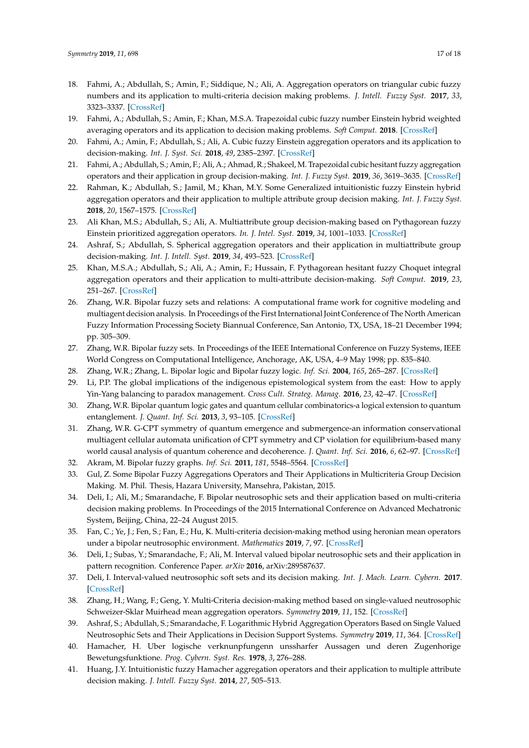- <span id="page-16-0"></span>18. Fahmi, A.; Abdullah, S.; Amin, F.; Siddique, N.; Ali, A. Aggregation operators on triangular cubic fuzzy numbers and its application to multi-criteria decision making problems. *J. Intell. Fuzzy Syst.* **2017**, *33*, 3323–3337. [\[CrossRef\]](http://dx.doi.org/10.3233/JIFS-162007)
- 19. Fahmi, A.; Abdullah, S.; Amin, F.; Khan, M.S.A. Trapezoidal cubic fuzzy number Einstein hybrid weighted averaging operators and its application to decision making problems. *Soft Comput.* **2018**. [\[CrossRef\]](http://dx.doi.org/10.1007/s00500-018-3242-6)
- 20. Fahmi, A.; Amin, F.; Abdullah, S.; Ali, A. Cubic fuzzy Einstein aggregation operators and its application to decision-making. *Int. J. Syst. Sci.* **2018**, *49*, 2385–2397. [\[CrossRef\]](http://dx.doi.org/10.1080/00207721.2018.1503356)
- <span id="page-16-1"></span>21. Fahmi, A.; Abdullah, S.; Amin, F.; Ali, A.; Ahmad, R.; Shakeel, M. Trapezoidal cubic hesitant fuzzy aggregation operators and their application in group decision-making. *Int. J. Fuzzy Syst.* **2019**, *36*, 3619–3635. [\[CrossRef\]](http://dx.doi.org/10.3233/JIFS-181703)
- <span id="page-16-2"></span>22. Rahman, K.; Abdullah, S.; Jamil, M.; Khan, M.Y. Some Generalized intuitionistic fuzzy Einstein hybrid aggregation operators and their application to multiple attribute group decision making. *Int. J. Fuzzy Syst.* **2018**, *20*, 1567–1575. [\[CrossRef\]](http://dx.doi.org/10.1007/s40815-018-0452-0)
- 23. Ali Khan, M.S.; Abdullah, S.; Ali, A. Multiattribute group decision-making based on Pythagorean fuzzy Einstein prioritized aggregation operators. *In. J. Intel. Syst.* **2019**, *34*, 1001–1033. [\[CrossRef\]](http://dx.doi.org/10.1002/int.22084)
- 24. Ashraf, S.; Abdullah, S. Spherical aggregation operators and their application in multiattribute group decision-making. *Int. J. Intell. Syst.* **2019**, *34*, 493–523. [\[CrossRef\]](http://dx.doi.org/10.1002/int.22062)
- <span id="page-16-3"></span>25. Khan, M.S.A.; Abdullah, S.; Ali, A.; Amin, F.; Hussain, F. Pythagorean hesitant fuzzy Choquet integral aggregation operators and their application to multi-attribute decision-making. *Soft Comput.* **2019**, *23*, 251–267. [\[CrossRef\]](http://dx.doi.org/10.1007/s00500-018-3592-0)
- <span id="page-16-4"></span>26. Zhang, W.R. Bipolar fuzzy sets and relations: A computational frame work for cognitive modeling and multiagent decision analysis. In Proceedings of the First International Joint Conference of The North American Fuzzy Information Processing Society Biannual Conference, San Antonio, TX, USA, 18–21 December 1994; pp. 305–309.
- 27. Zhang, W.R. Bipolar fuzzy sets. In Proceedings of the IEEE International Conference on Fuzzy Systems, IEEE World Congress on Computational Intelligence, Anchorage, AK, USA, 4–9 May 1998; pp. 835–840.
- <span id="page-16-5"></span>28. Zhang, W.R.; Zhang, L. Bipolar logic and Bipolar fuzzy logic. *Inf. Sci.* **2004**, *165*, 265–287. [\[CrossRef\]](http://dx.doi.org/10.1016/j.ins.2003.05.010)
- <span id="page-16-6"></span>29. Li, P.P. The global implications of the indigenous epistemological system from the east: How to apply Yin-Yang balancing to paradox management. *Cross Cult. Strateg. Manag.* **2016**, *23*, 42–47. [\[CrossRef\]](http://dx.doi.org/10.1108/CCSM-10-2015-0137)
- <span id="page-16-7"></span>30. Zhang, W.R. Bipolar quantum logic gates and quantum cellular combinatorics-a logical extension to quantum entanglement. *J. Quant. Inf. Sci.* **2013**, *3*, 93–105. [\[CrossRef\]](http://dx.doi.org/10.4236/jqis.2013.32014)
- <span id="page-16-8"></span>31. Zhang, W.R. G-CPT symmetry of quantum emergence and submergence-an information conservational multiagent cellular automata unification of CPT symmetry and CP violation for equilibrium-based many world causal analysis of quantum coherence and decoherence. *J. Quant. Inf. Sci.* **2016**, *6*, 62–97. [\[CrossRef\]](http://dx.doi.org/10.4236/jqis.2016.62008)
- <span id="page-16-9"></span>32. Akram, M. Bipolar fuzzy graphs. *Inf. Sci.* **2011**, *181*, 5548–5564. [\[CrossRef\]](http://dx.doi.org/10.1016/j.ins.2011.07.037)
- <span id="page-16-10"></span>33. Gul, Z. Some Bipolar Fuzzy Aggregations Operators and Their Applications in Multicriteria Group Decision Making. M. Phil. Thesis, Hazara University, Mansehra, Pakistan, 2015.
- <span id="page-16-11"></span>34. Deli, I.; Ali, M.; Smarandache, F. Bipolar neutrosophic sets and their application based on multi-criteria decision making problems. In Proceedings of the 2015 International Conference on Advanced Mechatronic System, Beijing, China, 22–24 August 2015.
- <span id="page-16-12"></span>35. Fan, C.; Ye, J.; Fen, S.; Fan, E.; Hu, K. Multi-criteria decision-making method using heronian mean operators under a bipolar neutrosophic environment. *Mathematics* **2019**, *7*, 97. [\[CrossRef\]](http://dx.doi.org/10.3390/math7010097)
- <span id="page-16-13"></span>36. Deli, I.; Subas, Y.; Smarandache, F.; Ali, M. Interval valued bipolar neutrosophic sets and their application in pattern recognition. Conference Paper. *arXiv* **2016**, arXiv:289587637.
- <span id="page-16-14"></span>37. Deli, I. Interval-valued neutrosophic soft sets and its decision making. *Int. J. Mach. Learn. Cybern.* **2017**. [\[CrossRef\]](http://dx.doi.org/10.1007/s13042-015-0461-3)
- <span id="page-16-15"></span>38. Zhang, H.; Wang, F.; Geng, Y. Multi-Criteria decision-making method based on single-valued neutrosophic Schweizer-Sklar Muirhead mean aggregation operators. *Symmetry* **2019**, *11*, 152. [\[CrossRef\]](http://dx.doi.org/10.3390/sym11020152)
- <span id="page-16-16"></span>39. Ashraf, S.; Abdullah, S.; Smarandache, F. Logarithmic Hybrid Aggregation Operators Based on Single Valued Neutrosophic Sets and Their Applications in Decision Support Systems. *Symmetry* **2019**, *11*, 364. [\[CrossRef\]](http://dx.doi.org/10.3390/sym11030364)
- <span id="page-16-17"></span>40. Hamacher, H. Uber logische verknunpfungenn unssharfer Aussagen und deren Zugenhorige Bewetungsfunktione. *Prog. Cybern. Syst. Res.* **1978**, *3*, 276–288.
- <span id="page-16-18"></span>41. Huang, J.Y. Intuitionistic fuzzy Hamacher aggregation operators and their application to multiple attribute decision making. *J. Intell. Fuzzy Syst.* **2014**, *27*, 505–513.